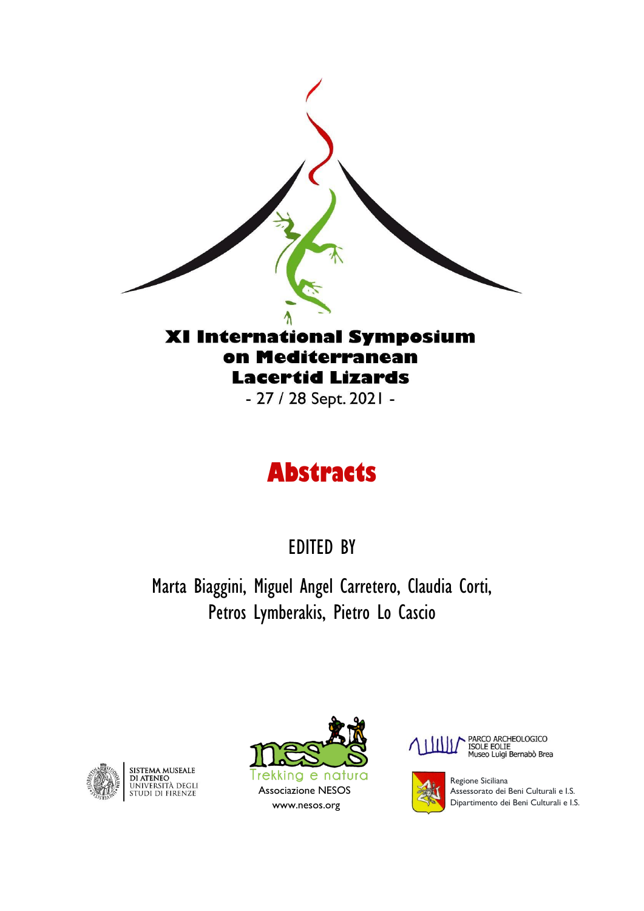

## on Mediterranean **Lacertid Lizards**

- 27 / 28 Sept. 2021 -

# **Abstracts**

EDITED BY

Marta Biaggini, Miguel Angel Carretero, Claudia Corti, Petros Lymberakis, Pietro Lo Cascio



SISTEMA MUSEALE<br>Di Ateneo<br>Università degli<br>Studi di Firenze







Regione Siciliana Assessorato dei Beni Culturali e I.S. Dipartimento dei Beni Culturali e I.S.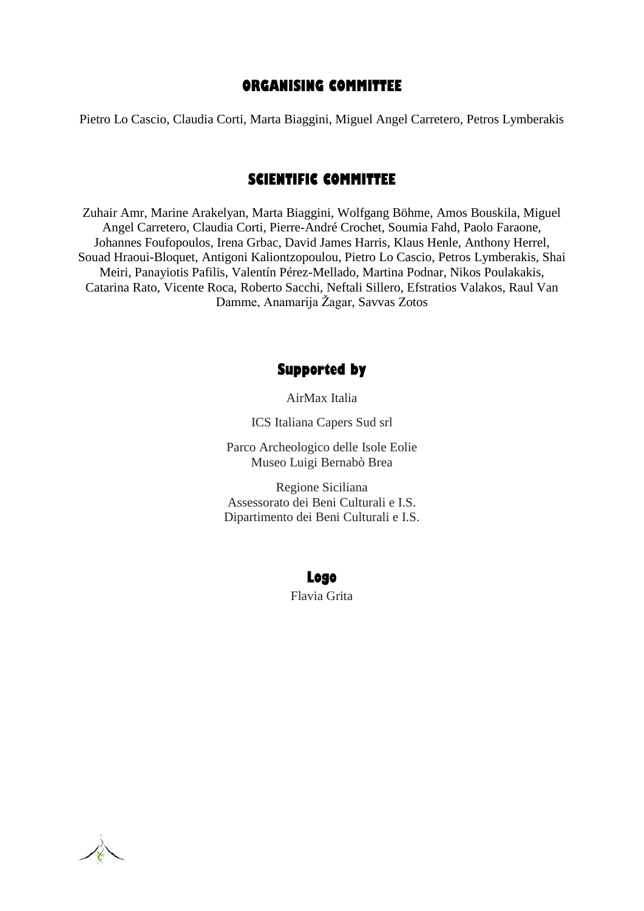#### **ORGANISING COMMITTEE**

Pietro Lo Cascio, Claudia Corti, Marta Biaggini, Miguel Angel Carretero, Petros Lymberakis

#### **SCIENTIFIC COMMITTEE**

Zuhair Amr, Marine Arakelyan, Marta Biaggini, Wolfgang Böhme, Amos Bouskila, Miguel Angel Carretero, Claudia Corti, Pierre-André Crochet, Soumia Fahd, Paolo Faraone, Johannes Foufopoulos, Irena Grbac, David James Harris, Klaus Henle, Anthony Herrel, Souad Hraoui-Bloquet, Antigoni Kaliontzopoulou, Pietro Lo Cascio, Petros Lymberakis, Shai Meiri, Panayiotis Pafilis, Valentín Pérez-Mellado, Martina Podnar, Nikos Poulakakis, Catarina Rato, Vicente Roca, Roberto Sacchi, Neftali Sillero, Efstratios Valakos, Raul Van Damme, Anamarija Žagar, Savvas Zotos

#### **Supported by**

AirMax Italia

ICS Italiana Capers Sud srl

Parco Archeologico delle Isole Eolie Museo Luigi Bernabò Brea

Regione Siciliana Assessorato dei Beni Culturali e I.S. Dipartimento dei Beni Culturali e I.S.

#### **Logo**

Flavia Grita

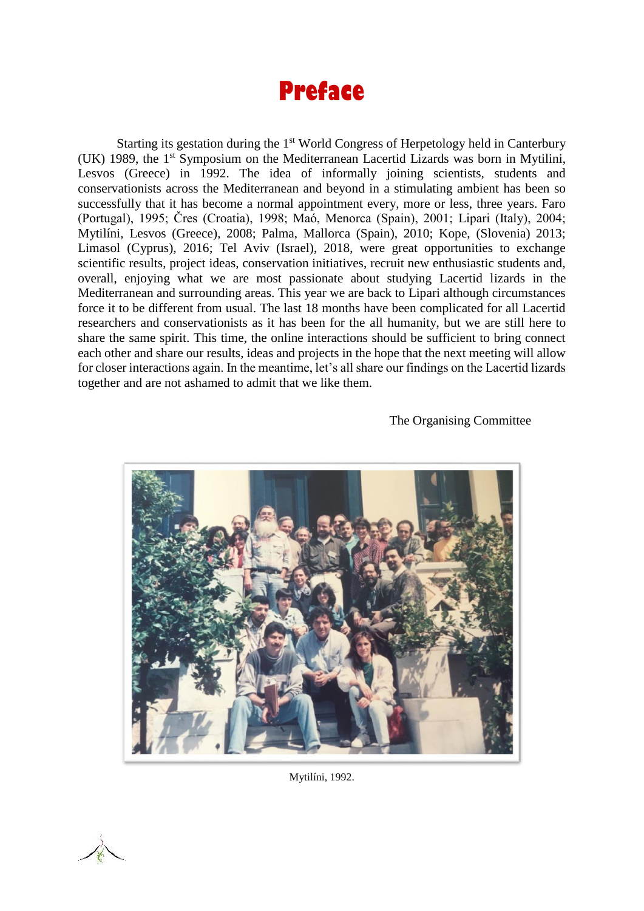# **Preface**

Starting its gestation during the 1<sup>st</sup> World Congress of Herpetology held in Canterbury (UK) 1989, the 1st Symposium on the Mediterranean Lacertid Lizards was born in Mytilini, Lesvos (Greece) in 1992. The idea of informally joining scientists, students and conservationists across the Mediterranean and beyond in a stimulating ambient has been so successfully that it has become a normal appointment every, more or less, three years. Faro (Portugal), 1995; Čres (Croatia), 1998; Maó, Menorca (Spain), 2001; Lipari (Italy), 2004; Mytilíni, Lesvos (Greece), 2008; Palma, Mallorca (Spain), 2010; Kope, (Slovenia) 2013; Limasol (Cyprus), 2016; Tel Aviv (Israel), 2018, were great opportunities to exchange scientific results, project ideas, conservation initiatives, recruit new enthusiastic students and, overall, enjoying what we are most passionate about studying Lacertid lizards in the Mediterranean and surrounding areas. This year we are back to Lipari although circumstances force it to be different from usual. The last 18 months have been complicated for all Lacertid researchers and conservationists as it has been for the all humanity, but we are still here to share the same spirit. This time, the online interactions should be sufficient to bring connect each other and share our results, ideas and projects in the hope that the next meeting will allow for closer interactions again. In the meantime, let's all share our findings on the Lacertid lizards together and are not ashamed to admit that we like them.

The Organising Committee



Mytilíni, 1992.

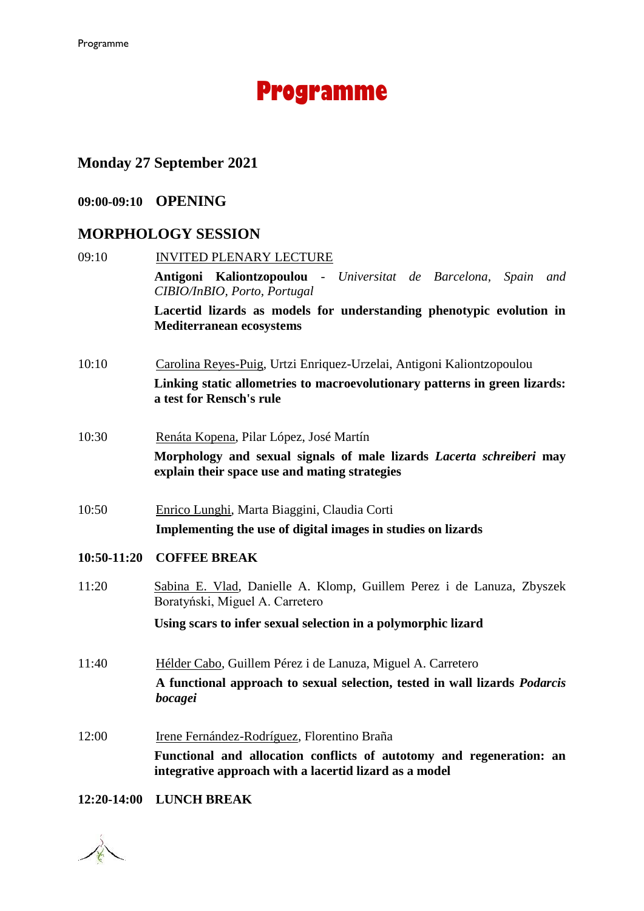# **Programme**

### **Monday 27 September 2021**

#### **09:00-09:10 OPENING**

#### **MORPHOLOGY SESSION**

| 09:10       | <b>INVITED PLENARY LECTURE</b>                                                                                        |
|-------------|-----------------------------------------------------------------------------------------------------------------------|
|             | Antigoni Kaliontzopoulou - Universitat de Barcelona,<br>Spain<br>and<br>CIBIO/InBIO, Porto, Portugal                  |
|             | Lacertid lizards as models for understanding phenotypic evolution in<br><b>Mediterranean ecosystems</b>               |
| 10:10       | Carolina Reyes-Puig, Urtzi Enriquez-Urzelai, Antigoni Kaliontzopoulou                                                 |
|             | Linking static allometries to macroevolutionary patterns in green lizards:<br>a test for Rensch's rule                |
| 10:30       | Renáta Kopena, Pilar López, José Martín                                                                               |
|             | Morphology and sexual signals of male lizards Lacerta schreiberi may<br>explain their space use and mating strategies |
| 10:50       | Enrico Lunghi, Marta Biaggini, Claudia Corti                                                                          |
|             | Implementing the use of digital images in studies on lizards                                                          |
| 10:50-11:20 | <b>COFFEE BREAK</b>                                                                                                   |
| 11:20       | Sabina E. Vlad, Danielle A. Klomp, Guillem Perez i de Lanuza, Zbyszek<br>Boratyński, Miguel A. Carretero              |
|             | Using scars to infer sexual selection in a polymorphic lizard                                                         |
| 11:40       | Hélder Cabo, Guillem Pérez i de Lanuza, Miguel A. Carretero                                                           |
|             | A functional approach to sexual selection, tested in wall lizards <i>Podarcis</i><br>bocagei                          |
| 12:00       | Irene Fernández-Rodríguez, Florentino Braña                                                                           |

**Functional and allocation conflicts of autotomy and regeneration: an integrative approach with a lacertid lizard as a model**

#### **12:20-14:00 LUNCH BREAK**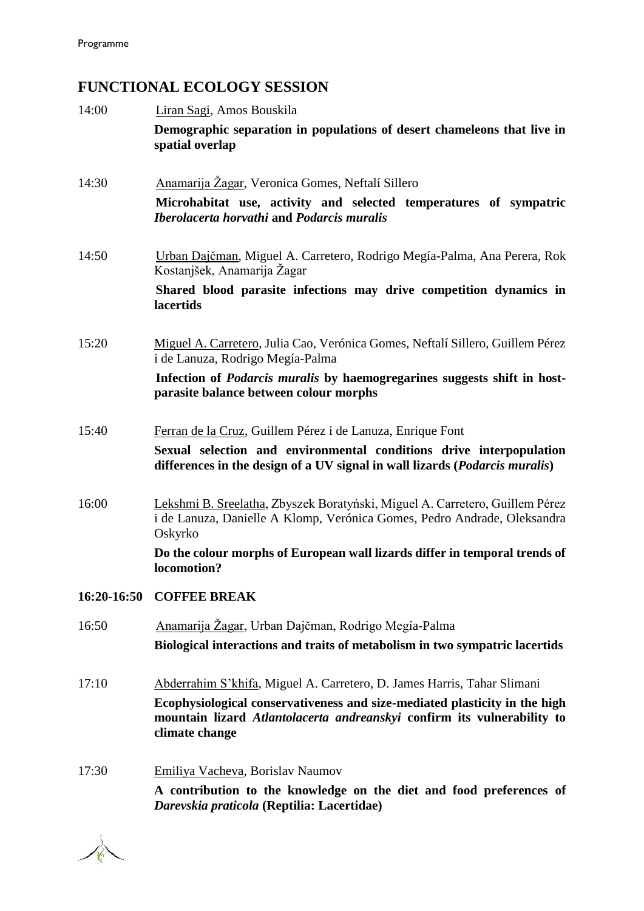### **FUNCTIONAL ECOLOGY SESSION**

| 14:00       | Liran Sagi, Amos Bouskila                                                                                                                                               |
|-------------|-------------------------------------------------------------------------------------------------------------------------------------------------------------------------|
|             | Demographic separation in populations of desert chameleons that live in<br>spatial overlap                                                                              |
| 14:30       | Anamarija Žagar, Veronica Gomes, Neftalí Sillero                                                                                                                        |
|             | Microhabitat use, activity and selected temperatures of sympatric<br><b>Iberolacerta horvathi and Podarcis muralis</b>                                                  |
| 14:50       | Urban Dajčman, Miguel A. Carretero, Rodrigo Megía-Palma, Ana Perera, Rok<br>Kostanjšek, Anamarija Žagar                                                                 |
|             | Shared blood parasite infections may drive competition dynamics in<br>lacertids                                                                                         |
| 15:20       | Miguel A. Carretero, Julia Cao, Verónica Gomes, Neftalí Sillero, Guillem Pérez<br>i de Lanuza, Rodrigo Megía-Palma                                                      |
|             | Infection of <i>Podarcis muralis</i> by haemogregarines suggests shift in host-<br>parasite balance between colour morphs                                               |
| 15:40       | Ferran de la Cruz, Guillem Pérez i de Lanuza, Enrique Font                                                                                                              |
|             | Sexual selection and environmental conditions drive interpopulation<br>differences in the design of a UV signal in wall lizards (Podarcis muralis)                      |
| 16:00       | Lekshmi B. Sreelatha, Zbyszek Boratyński, Miguel A. Carretero, Guillem Pérez<br>i de Lanuza, Danielle A Klomp, Verónica Gomes, Pedro Andrade, Oleksandra<br>Oskyrko     |
|             | Do the colour morphs of European wall lizards differ in temporal trends of<br>locomotion?                                                                               |
| 16:20-16:50 | <b>COFFEE BREAK</b>                                                                                                                                                     |
| 16:50       | Anamarija Žagar, Urban Dajčman, Rodrigo Megía-Palma                                                                                                                     |
|             | Biological interactions and traits of metabolism in two sympatric lacertids                                                                                             |
| 17:10       | Abderrahim S'khifa, Miguel A. Carretero, D. James Harris, Tahar Slimani                                                                                                 |
|             | Ecophysiological conservativeness and size-mediated plasticity in the high<br>mountain lizard Atlantolacerta andreanskyi confirm its vulnerability to<br>climate change |
|             |                                                                                                                                                                         |

17:30 Emiliya Vacheva, Borislav Naumov **A contribution to the knowledge on the diet and food preferences of**  *Darevskia praticola* **(Reptilia: Lacertidae)**

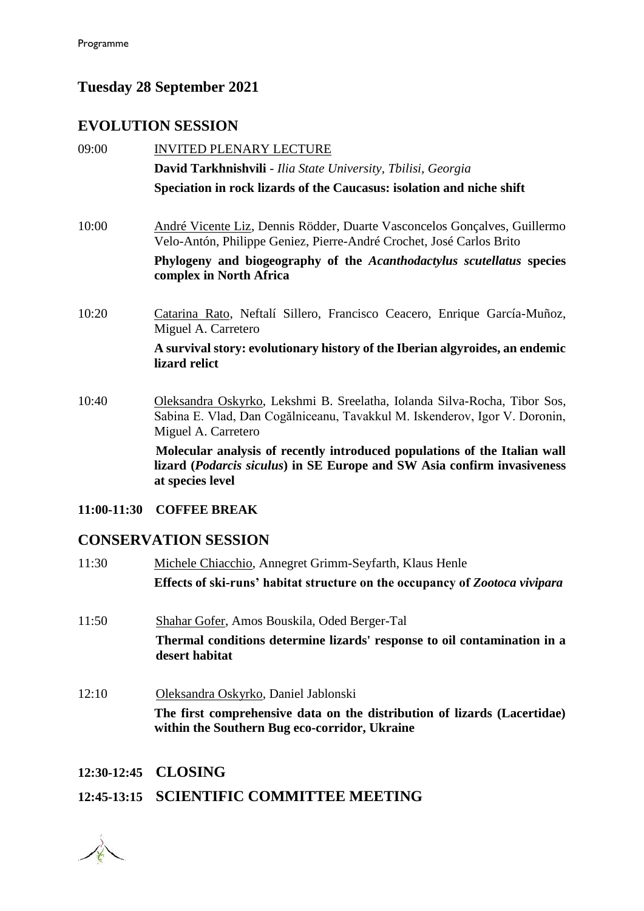#### **Tuesday 28 September 2021**

#### **EVOLUTION SESSION**

| 09:00       | <b>INVITED PLENARY LECTURE</b>                                                                                                                                                 |
|-------------|--------------------------------------------------------------------------------------------------------------------------------------------------------------------------------|
|             | David Tarkhnishvili - Ilia State University, Tbilisi, Georgia                                                                                                                  |
|             | Speciation in rock lizards of the Caucasus: isolation and niche shift                                                                                                          |
| 10:00       | André Vicente Liz, Dennis Rödder, Duarte Vasconcelos Gonçalves, Guillermo<br>Velo-Antón, Philippe Geniez, Pierre-André Crochet, José Carlos Brito                              |
|             | Phylogeny and biogeography of the Acanthodactylus scutellatus species<br>complex in North Africa                                                                               |
| 10:20       | Catarina Rato, Neftalí Sillero, Francisco Ceacero, Enrique García-Muñoz,<br>Miguel A. Carretero                                                                                |
|             | A survival story: evolutionary history of the Iberian algyroides, an endemic<br>lizard relict                                                                                  |
| 10:40       | Oleksandra Oskyrko, Lekshmi B. Sreelatha, Iolanda Silva-Rocha, Tibor Sos,<br>Sabina E. Vlad, Dan Cogălniceanu, Tavakkul M. Iskenderov, Igor V. Doronin,<br>Miguel A. Carretero |
|             | Molecular analysis of recently introduced populations of the Italian wall<br>lizard (Podarcis siculus) in SE Europe and SW Asia confirm invasiveness<br>at species level       |
| 11:00-11:30 | <b>COFFEE BREAK</b>                                                                                                                                                            |
|             | <b>CONSERVATION SESSION</b>                                                                                                                                                    |
| 11:30       | Michele Chiacchio, Annegret Grimm-Seyfarth, Klaus Henle                                                                                                                        |
|             | Effects of ski-runs' habitat structure on the occupancy of Zootoca vivipara                                                                                                    |
|             |                                                                                                                                                                                |

- 11:50 Shahar Gofer, Amos Bouskila, Oded Berger-Tal **Thermal conditions determine lizards' response to oil contamination in a desert habitat**
- 12:10 Oleksandra Oskyrko, Daniel Jablonski **The first comprehensive data on the distribution of lizards (Lacertidae) within the Southern Bug eco-corridor, Ukraine**

#### **12:30-12:45 CLOSING**

#### **12:45-13:15 SCIENTIFIC COMMITTEE MEETING**

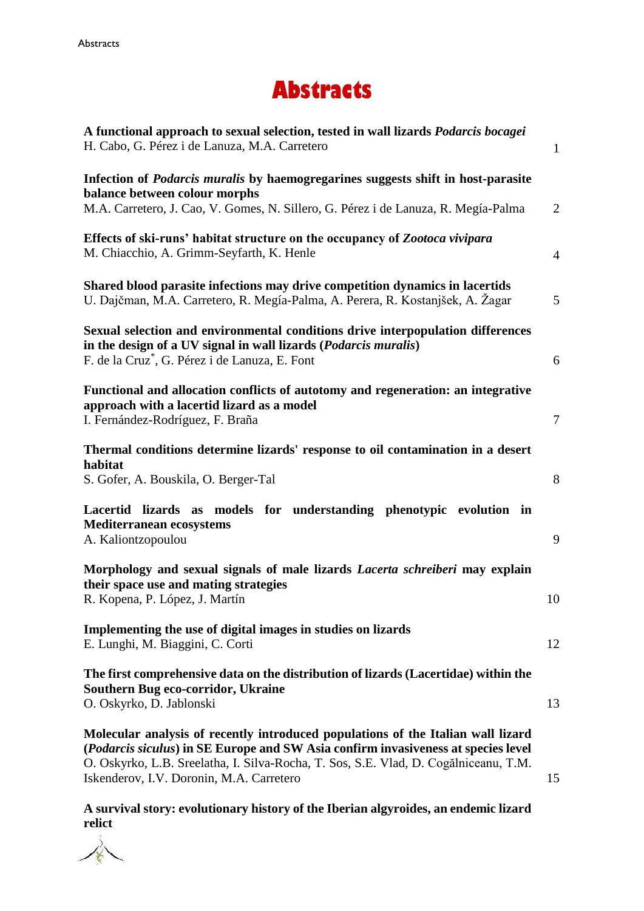## **Abstracts**

| A functional approach to sexual selection, tested in wall lizards <i>Podarcis bocagei</i><br>H. Cabo, G. Pérez i de Lanuza, M.A. Carretero                                                                                                                                                                | $\mathbf{1}$   |
|-----------------------------------------------------------------------------------------------------------------------------------------------------------------------------------------------------------------------------------------------------------------------------------------------------------|----------------|
| Infection of Podarcis muralis by haemogregarines suggests shift in host-parasite<br>balance between colour morphs<br>M.A. Carretero, J. Cao, V. Gomes, N. Sillero, G. Pérez i de Lanuza, R. Megía-Palma                                                                                                   | $\overline{2}$ |
| Effects of ski-runs' habitat structure on the occupancy of Zootoca vivipara<br>M. Chiacchio, A. Grimm-Seyfarth, K. Henle                                                                                                                                                                                  | $\overline{4}$ |
| Shared blood parasite infections may drive competition dynamics in lacertids<br>U. Dajčman, M.A. Carretero, R. Megía-Palma, A. Perera, R. Kostanjšek, A. Žagar                                                                                                                                            | 5              |
| Sexual selection and environmental conditions drive interpopulation differences<br>in the design of a UV signal in wall lizards ( <i>Podarcis muralis</i> )<br>F. de la Cruz <sup>*</sup> , G. Pérez i de Lanuza, E. Font                                                                                 | 6              |
| Functional and allocation conflicts of autotomy and regeneration: an integrative<br>approach with a lacertid lizard as a model<br>I. Fernández-Rodríguez, F. Braña                                                                                                                                        | $\overline{7}$ |
| Thermal conditions determine lizards' response to oil contamination in a desert<br>habitat<br>S. Gofer, A. Bouskila, O. Berger-Tal                                                                                                                                                                        | 8              |
| Lacertid lizards as models for understanding phenotypic evolution in<br><b>Mediterranean ecosystems</b><br>A. Kaliontzopoulou                                                                                                                                                                             | 9              |
| Morphology and sexual signals of male lizards Lacerta schreiberi may explain<br>their space use and mating strategies<br>R. Kopena, P. López, J. Martín                                                                                                                                                   | 10             |
| Implementing the use of digital images in studies on lizards<br>E. Lunghi, M. Biaggini, C. Corti                                                                                                                                                                                                          | 12             |
| The first comprehensive data on the distribution of lizards (Lacertidae) within the<br><b>Southern Bug eco-corridor, Ukraine</b><br>O. Oskyrko, D. Jablonski                                                                                                                                              | 13             |
| Molecular analysis of recently introduced populations of the Italian wall lizard<br>(Podarcis siculus) in SE Europe and SW Asia confirm invasiveness at species level<br>O. Oskyrko, L.B. Sreelatha, I. Silva-Rocha, T. Sos, S.E. Vlad, D. Cogălniceanu, T.M.<br>Iskenderov, I.V. Doronin, M.A. Carretero | 15             |

**A survival story: evolutionary history of the Iberian algyroides, an endemic lizard relict**

R.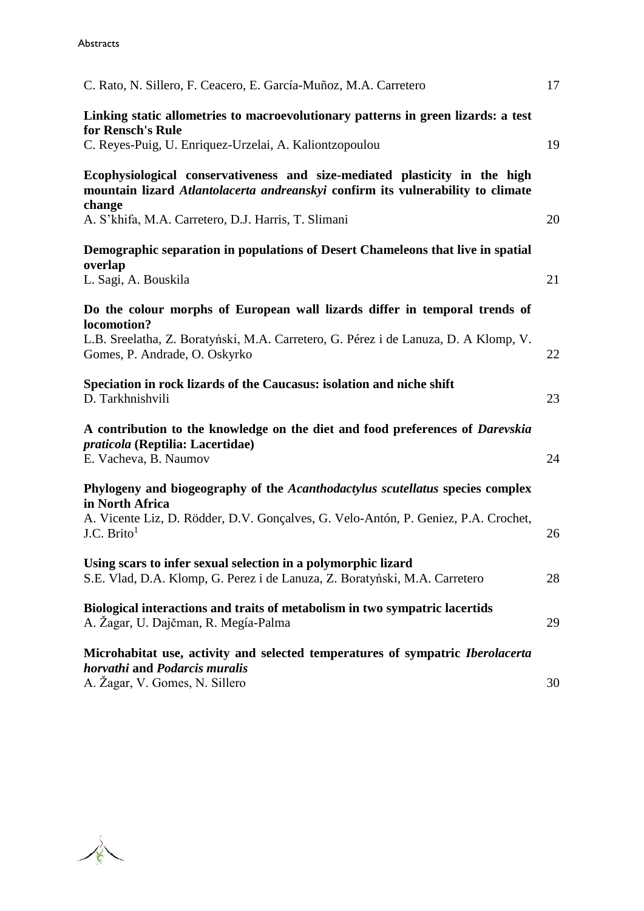| C. Rato, N. Sillero, F. Ceacero, E. García-Muñoz, M.A. Carretero                                                                                                 | 17 |
|------------------------------------------------------------------------------------------------------------------------------------------------------------------|----|
| Linking static allometries to macroevolutionary patterns in green lizards: a test<br>for Rensch's Rule<br>C. Reyes-Puig, U. Enriquez-Urzelai, A. Kaliontzopoulou | 19 |
| Ecophysiological conservativeness and size-mediated plasticity in the high<br>mountain lizard Atlantolacerta andreanskyi confirm its vulnerability to climate    |    |
| change<br>A. S'khifa, M.A. Carretero, D.J. Harris, T. Slimani                                                                                                    | 20 |
| Demographic separation in populations of Desert Chameleons that live in spatial<br>overlap                                                                       |    |
| L. Sagi, A. Bouskila                                                                                                                                             | 21 |
| Do the colour morphs of European wall lizards differ in temporal trends of<br>locomotion?                                                                        |    |
| L.B. Sreelatha, Z. Boratyński, M.A. Carretero, G. Pérez i de Lanuza, D. A Klomp, V.<br>Gomes, P. Andrade, O. Oskyrko                                             | 22 |
| Speciation in rock lizards of the Caucasus: isolation and niche shift<br>D. Tarkhnishvili                                                                        | 23 |
| A contribution to the knowledge on the diet and food preferences of <i>Darevskia</i><br>praticola (Reptilia: Lacertidae)<br>E. Vacheva, B. Naumov                | 24 |
| Phylogeny and biogeography of the Acanthodactylus scutellatus species complex                                                                                    |    |
| in North Africa<br>A. Vicente Liz, D. Rödder, D.V. Gonçalves, G. Velo-Antón, P. Geniez, P.A. Crochet,<br>J.C. $Brito1$                                           | 26 |
| Using scars to infer sexual selection in a polymorphic lizard<br>S.E. Vlad, D.A. Klomp, G. Perez i de Lanuza, Z. Boratyński, M.A. Carretero                      | 28 |
| Biological interactions and traits of metabolism in two sympatric lacertids<br>A. Žagar, U. Dajčman, R. Megía-Palma                                              | 29 |
| Microhabitat use, activity and selected temperatures of sympatric <i>Iberolacerta</i><br>horvathi and Podarcis muralis<br>A. Žagar, V. Gomes, N. Sillero         | 30 |

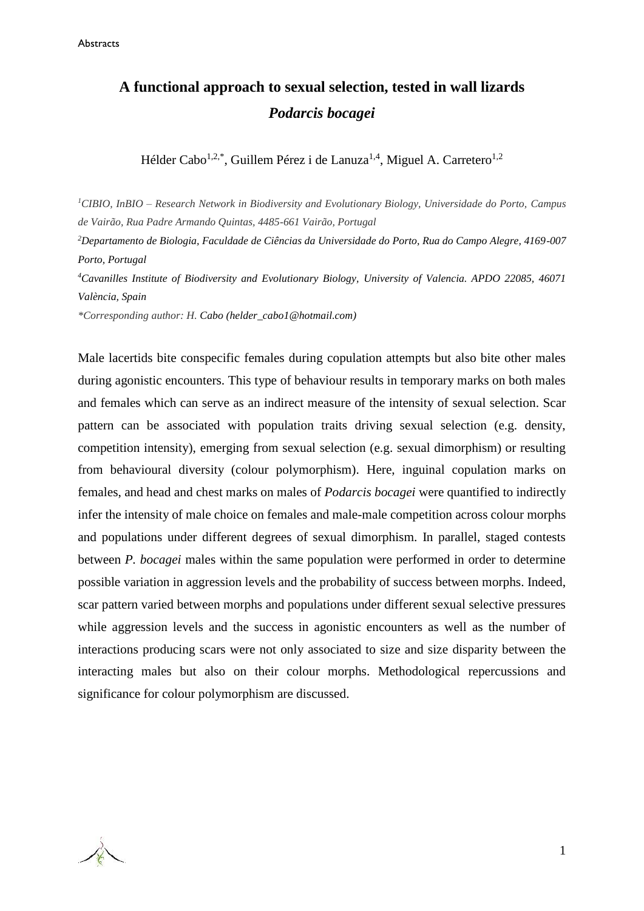### **A functional approach to sexual selection, tested in wall lizards** *Podarcis bocagei*

Hélder Cabo<sup>1,2,\*</sup>, Guillem Pérez i de Lanuza<sup>1,4</sup>, Miguel A. Carretero<sup>1,2</sup>

*<sup>1</sup>CIBIO, InBIO – Research Network in Biodiversity and Evolutionary Biology, Universidade do Porto, Campus de Vairão, Rua Padre Armando Quintas, 4485-661 Vairão, Portugal*

*<sup>2</sup>Departamento de Biologia, Faculdade de Ciências da Universidade do Porto, Rua do Campo Alegre, 4169-007 Porto, Portugal*

*<sup>4</sup>Cavanilles Institute of Biodiversity and Evolutionary Biology, University of Valencia. APDO 22085, 46071 València, Spain*

*\*Corresponding author: H. Cabo [\(helder\\_cabo1@hotmail.com\)](mailto:helder_cabo1@hotmail.com)*

Male lacertids bite conspecific females during copulation attempts but also bite other males during agonistic encounters. This type of behaviour results in temporary marks on both males and females which can serve as an indirect measure of the intensity of sexual selection. Scar pattern can be associated with population traits driving sexual selection (e.g. density, competition intensity), emerging from sexual selection (e.g. sexual dimorphism) or resulting from behavioural diversity (colour polymorphism). Here, inguinal copulation marks on females, and head and chest marks on males of *Podarcis bocagei* were quantified to indirectly infer the intensity of male choice on females and male-male competition across colour morphs and populations under different degrees of sexual dimorphism. In parallel, staged contests between *P. bocagei* males within the same population were performed in order to determine possible variation in aggression levels and the probability of success between morphs. Indeed, scar pattern varied between morphs and populations under different sexual selective pressures while aggression levels and the success in agonistic encounters as well as the number of interactions producing scars were not only associated to size and size disparity between the interacting males but also on their colour morphs. Methodological repercussions and significance for colour polymorphism are discussed.

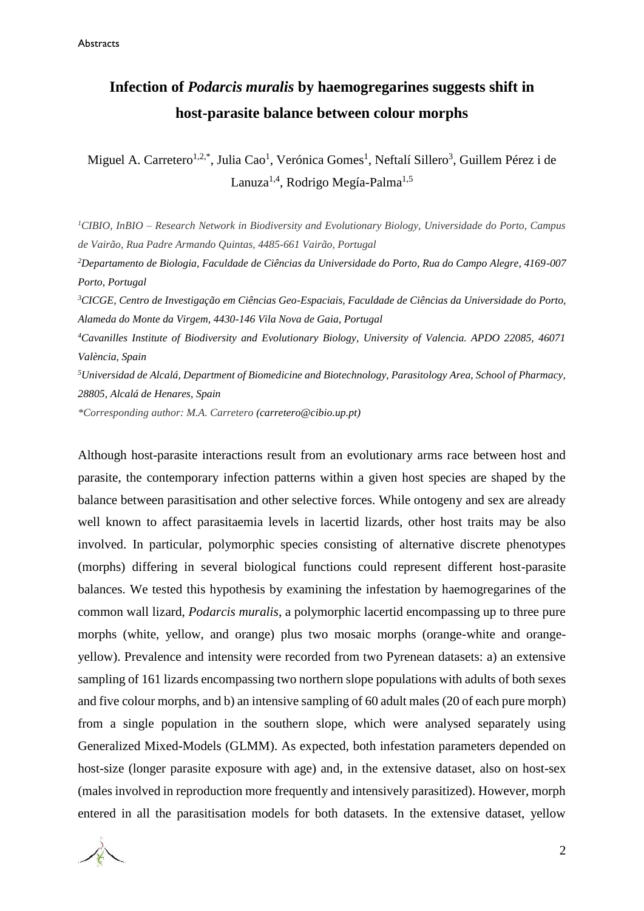### **Infection of** *Podarcis muralis* **by haemogregarines suggests shift in host-parasite balance between colour morphs**

Miguel A. Carretero<sup>1,2,\*</sup>, Julia Cao<sup>1</sup>, Verónica Gomes<sup>1</sup>, Neftalí Sillero<sup>3</sup>, Guillem Pérez i de Lanuza<sup>1,4</sup>, Rodrigo Megía-Palma<sup>1,5</sup>

*<sup>1</sup>CIBIO, InBIO – Research Network in Biodiversity and Evolutionary Biology, Universidade do Porto, Campus de Vairão, Rua Padre Armando Quintas, 4485-661 Vairão, Portugal*

*<sup>2</sup>Departamento de Biologia, Faculdade de Ciências da Universidade do Porto, Rua do Campo Alegre, 4169-007 Porto, Portugal*

*<sup>3</sup>CICGE, Centro de Investigação em Ciências Geo-Espaciais, Faculdade de Ciências da Universidade do Porto, Alameda do Monte da Virgem, 4430-146 Vila Nova de Gaia, Portugal*

*<sup>4</sup>Cavanilles Institute of Biodiversity and Evolutionary Biology, University of Valencia. APDO 22085, 46071 València, Spain*

*<sup>5</sup>Universidad de Alcalá, Department of Biomedicine and Biotechnology, Parasitology Area, School of Pharmacy, 28805, Alcalá de Henares, Spain*

*\*Corresponding author: M.A. Carretero [\(carretero@cibio.up.pt\)](mailto:carretero@cibio.up.pt)*

Although host-parasite interactions result from an evolutionary arms race between host and parasite, the contemporary infection patterns within a given host species are shaped by the balance between parasitisation and other selective forces. While ontogeny and sex are already well known to affect parasitaemia levels in lacertid lizards, other host traits may be also involved. In particular, polymorphic species consisting of alternative discrete phenotypes (morphs) differing in several biological functions could represent different host-parasite balances. We tested this hypothesis by examining the infestation by haemogregarines of the common wall lizard, *Podarcis muralis*, a polymorphic lacertid encompassing up to three pure morphs (white, yellow, and orange) plus two mosaic morphs (orange-white and orangeyellow). Prevalence and intensity were recorded from two Pyrenean datasets: a) an extensive sampling of 161 lizards encompassing two northern slope populations with adults of both sexes and five colour morphs, and b) an intensive sampling of 60 adult males (20 of each pure morph) from a single population in the southern slope, which were analysed separately using Generalized Mixed-Models (GLMM). As expected, both infestation parameters depended on host-size (longer parasite exposure with age) and, in the extensive dataset, also on host-sex (males involved in reproduction more frequently and intensively parasitized). However, morph entered in all the parasitisation models for both datasets. In the extensive dataset, yellow

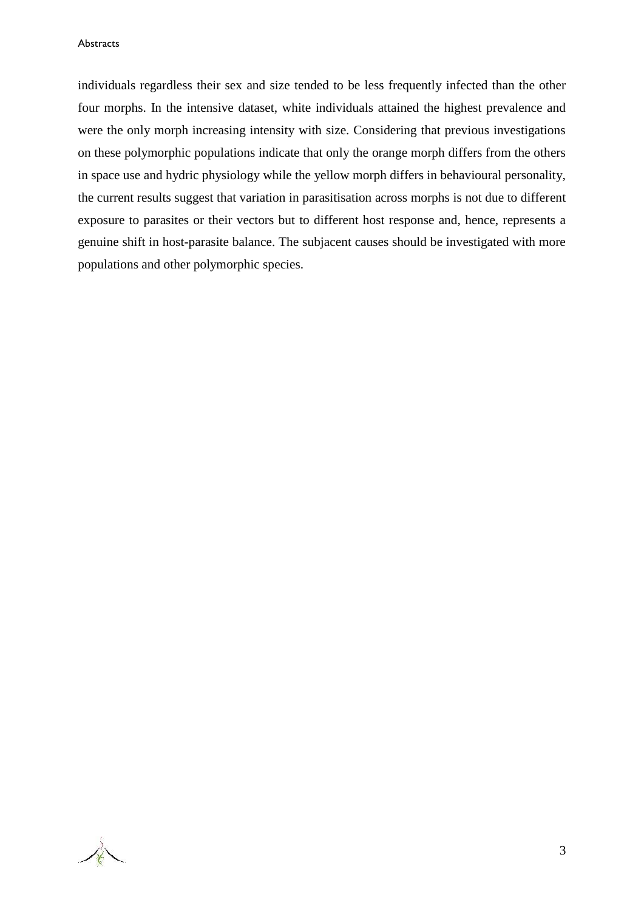individuals regardless their sex and size tended to be less frequently infected than the other four morphs. In the intensive dataset, white individuals attained the highest prevalence and were the only morph increasing intensity with size. Considering that previous investigations on these polymorphic populations indicate that only the orange morph differs from the others in space use and hydric physiology while the yellow morph differs in behavioural personality, the current results suggest that variation in parasitisation across morphs is not due to different exposure to parasites or their vectors but to different host response and, hence, represents a genuine shift in host-parasite balance. The subjacent causes should be investigated with more populations and other polymorphic species.

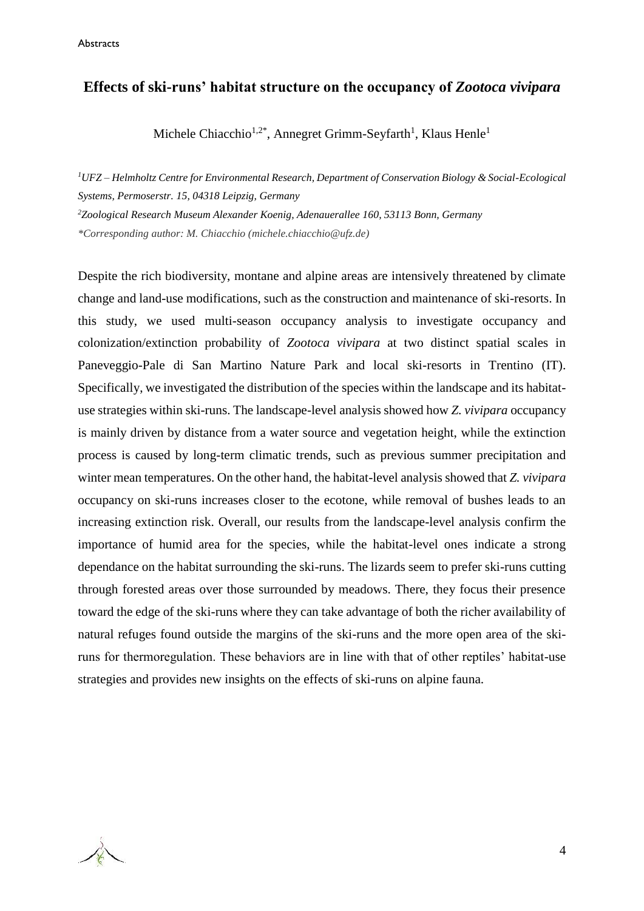#### **Effects of ski-runs' habitat structure on the occupancy of** *Zootoca vivipara*

Michele Chiacchio<sup>1,2\*</sup>, Annegret Grimm-Seyfarth<sup>1</sup>, Klaus Henle<sup>1</sup>

*<sup>1</sup>UFZ – Helmholtz Centre for Environmental Research, Department of Conservation Biology & Social-Ecological Systems, Permoserstr. 15, 04318 Leipzig, Germany*

*<sup>2</sup>Zoological Research Museum Alexander Koenig, Adenauerallee 160, 53113 Bonn, Germany*

*\*Corresponding author: M. Chiacchio [\(michele.chiacchio@ufz.de\)](mailto:michele.chiacchio@ufz.de)*

Despite the rich biodiversity, montane and alpine areas are intensively threatened by climate change and land-use modifications, such as the construction and maintenance of ski-resorts. In this study, we used multi-season occupancy analysis to investigate occupancy and colonization/extinction probability of *Zootoca vivipara* at two distinct spatial scales in Paneveggio-Pale di San Martino Nature Park and local ski-resorts in Trentino (IT). Specifically, we investigated the distribution of the species within the landscape and its habitatuse strategies within ski-runs. The landscape-level analysis showed how *Z. vivipara* occupancy is mainly driven by distance from a water source and vegetation height, while the extinction process is caused by long-term climatic trends, such as previous summer precipitation and winter mean temperatures. On the other hand, the habitat-level analysis showed that *Z. vivipara* occupancy on ski-runs increases closer to the ecotone, while removal of bushes leads to an increasing extinction risk. Overall, our results from the landscape-level analysis confirm the importance of humid area for the species, while the habitat-level ones indicate a strong dependance on the habitat surrounding the ski-runs. The lizards seem to prefer ski-runs cutting through forested areas over those surrounded by meadows. There, they focus their presence toward the edge of the ski-runs where they can take advantage of both the richer availability of natural refuges found outside the margins of the ski-runs and the more open area of the skiruns for thermoregulation. These behaviors are in line with that of other reptiles' habitat-use strategies and provides new insights on the effects of ski-runs on alpine fauna.

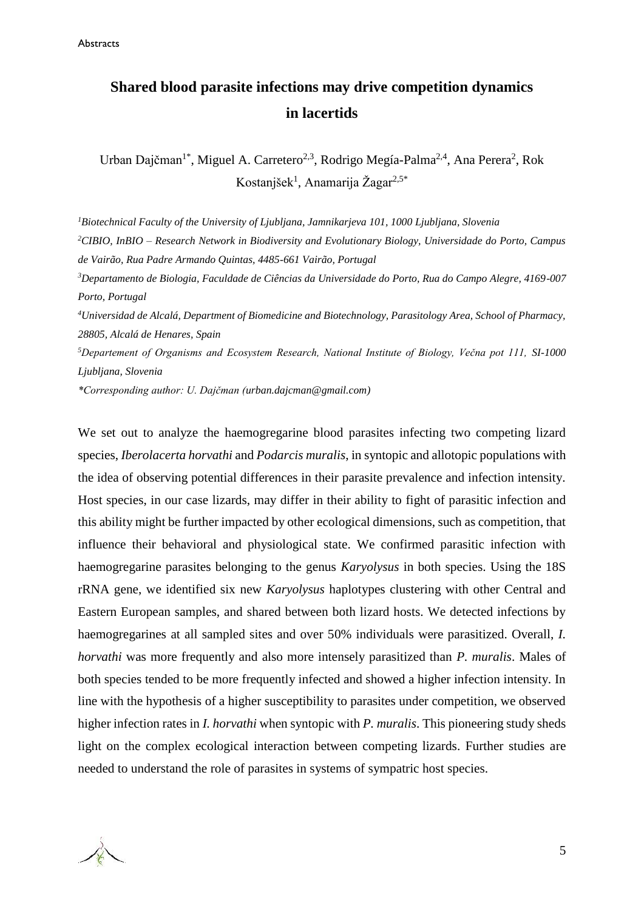### **Shared blood parasite infections may drive competition dynamics in lacertids**

Urban Dajčman<sup>1\*</sup>, Miguel A. Carretero<sup>2,3</sup>, Rodrigo Megía-Palma<sup>2,4</sup>, Ana Perera<sup>2</sup>, Rok Kostanjšek<sup>1</sup>, Anamarija Žagar<sup>2,5\*</sup>

*<sup>1</sup>Biotechnical Faculty of the University of Ljubljana, Jamnikarjeva 101, 1000 Ljubljana, Slovenia <sup>2</sup>CIBIO, InBIO – Research Network in Biodiversity and Evolutionary Biology, Universidade do Porto, Campus de Vairão, Rua Padre Armando Quintas, 4485-661 Vairão, Portugal*

*<sup>3</sup>Departamento de Biologia, Faculdade de Ciências da Universidade do Porto, Rua do Campo Alegre, 4169-007 Porto, Portugal*

*<sup>4</sup>Universidad de Alcalá, Department of Biomedicine and Biotechnology, Parasitology Area, School of Pharmacy, 28805, Alcalá de Henares, Spain*

*<sup>5</sup>Departement of Organisms and Ecosystem Research, National Institute of Biology, Večna pot 111, SI-1000 Ljubljana, Slovenia*

*\*Corresponding author: U. Dajčman [\(urban.dajcman@gmail.com\)](mailto:urban.dajcman@gmail.com)*

We set out to analyze the haemogregarine blood parasites infecting two competing lizard species, *Iberolacerta horvathi* and *Podarcis muralis*, in syntopic and allotopic populations with the idea of observing potential differences in their parasite prevalence and infection intensity. Host species, in our case lizards, may differ in their ability to fight of parasitic infection and this ability might be further impacted by other ecological dimensions, such as competition, that influence their behavioral and physiological state. We confirmed parasitic infection with haemogregarine parasites belonging to the genus *Karyolysus* in both species. Using the 18S rRNA gene, we identified six new *Karyolysus* haplotypes clustering with other Central and Eastern European samples, and shared between both lizard hosts. We detected infections by haemogregarines at all sampled sites and over 50% individuals were parasitized. Overall, *I. horvathi* was more frequently and also more intensely parasitized than *P. muralis*. Males of both species tended to be more frequently infected and showed a higher infection intensity. In line with the hypothesis of a higher susceptibility to parasites under competition, we observed higher infection rates in *I. horvathi* when syntopic with *P. muralis*. This pioneering study sheds light on the complex ecological interaction between competing lizards. Further studies are needed to understand the role of parasites in systems of sympatric host species.

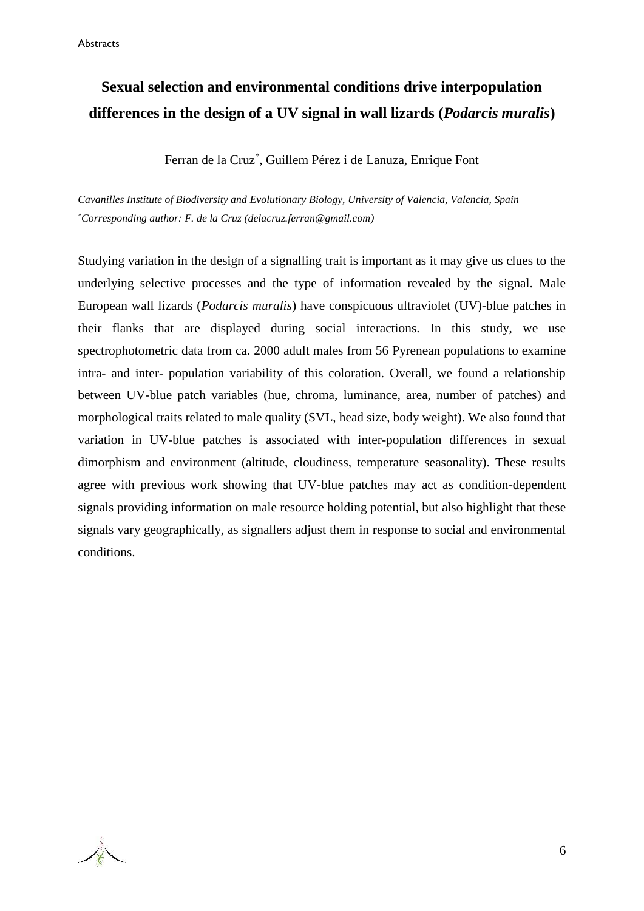### **Sexual selection and environmental conditions drive interpopulation differences in the design of a UV signal in wall lizards (***Podarcis muralis***)**

Ferran de la Cruz\* , Guillem Pérez i de Lanuza, Enrique Font

*Cavanilles Institute of Biodiversity and Evolutionary Biology, University of Valencia, Valencia, Spain \*Corresponding author: F. de la Cruz (delacruz.ferran@gmail.com)*

Studying variation in the design of a signalling trait is important as it may give us clues to the underlying selective processes and the type of information revealed by the signal. Male European wall lizards (*Podarcis muralis*) have conspicuous ultraviolet (UV)-blue patches in their flanks that are displayed during social interactions. In this study, we use spectrophotometric data from ca. 2000 adult males from 56 Pyrenean populations to examine intra- and inter- population variability of this coloration. Overall, we found a relationship between UV-blue patch variables (hue, chroma, luminance, area, number of patches) and morphological traits related to male quality (SVL, head size, body weight). We also found that variation in UV-blue patches is associated with inter-population differences in sexual dimorphism and environment (altitude, cloudiness, temperature seasonality). These results agree with previous work showing that UV-blue patches may act as condition-dependent signals providing information on male resource holding potential, but also highlight that these signals vary geographically, as signallers adjust them in response to social and environmental conditions.

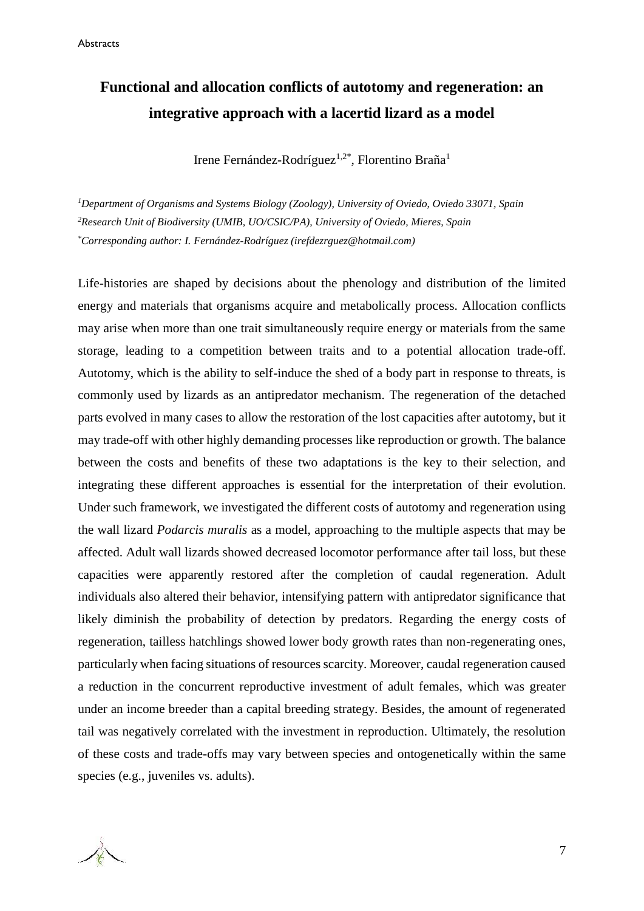### **Functional and allocation conflicts of autotomy and regeneration: an integrative approach with a lacertid lizard as a model**

Irene Fernández-Rodríguez<sup>1,2\*</sup>, Florentino Braña<sup>1</sup>

*<sup>1</sup>Department of Organisms and Systems Biology (Zoology), University of Oviedo, Oviedo 33071, Spain <sup>2</sup>Research Unit of Biodiversity (UMIB, UO/CSIC/PA), University of Oviedo, Mieres, Spain \*Corresponding author: I. Fernández-Rodríguez [\(irefdezrguez@hotmail.com\)](mailto:irefdezrguez@hotmail.com)*

Life-histories are shaped by decisions about the phenology and distribution of the limited energy and materials that organisms acquire and metabolically process. Allocation conflicts may arise when more than one trait simultaneously require energy or materials from the same storage, leading to a competition between traits and to a potential allocation trade-off. Autotomy, which is the ability to self-induce the shed of a body part in response to threats, is commonly used by lizards as an antipredator mechanism. The regeneration of the detached parts evolved in many cases to allow the restoration of the lost capacities after autotomy, but it may trade-off with other highly demanding processes like reproduction or growth. The balance between the costs and benefits of these two adaptations is the key to their selection, and integrating these different approaches is essential for the interpretation of their evolution. Under such framework, we investigated the different costs of autotomy and regeneration using the wall lizard *Podarcis muralis* as a model, approaching to the multiple aspects that may be affected. Adult wall lizards showed decreased locomotor performance after tail loss, but these capacities were apparently restored after the completion of caudal regeneration. Adult individuals also altered their behavior, intensifying pattern with antipredator significance that likely diminish the probability of detection by predators. Regarding the energy costs of regeneration, tailless hatchlings showed lower body growth rates than non-regenerating ones, particularly when facing situations of resources scarcity. Moreover, caudal regeneration caused a reduction in the concurrent reproductive investment of adult females, which was greater under an income breeder than a capital breeding strategy. Besides, the amount of regenerated tail was negatively correlated with the investment in reproduction. Ultimately, the resolution of these costs and trade-offs may vary between species and ontogenetically within the same species (e.g., juveniles vs. adults).

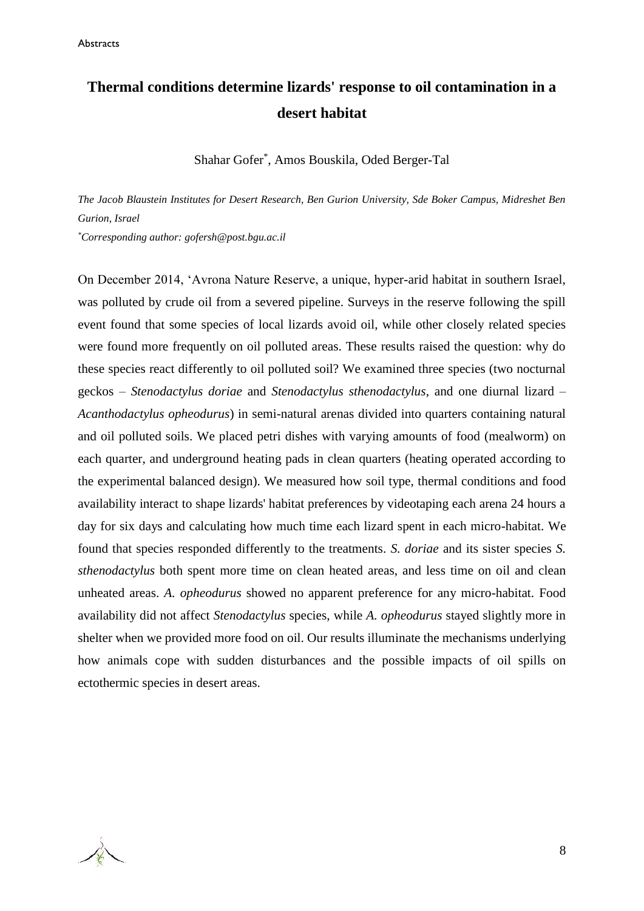### **Thermal conditions determine lizards' response to oil contamination in a desert habitat**

Shahar Gofer\* , Amos Bouskila, Oded Berger-Tal

*The Jacob Blaustein Institutes for Desert Research, Ben Gurion University, Sde Boker Campus, Midreshet Ben Gurion, Israel* 

*\*Corresponding author: gofersh@post.bgu.ac.il*

On December 2014, 'Avrona Nature Reserve, a unique, hyper-arid habitat in southern Israel, was polluted by crude oil from a severed pipeline. Surveys in the reserve following the spill event found that some species of local lizards avoid oil, while other closely related species were found more frequently on oil polluted areas. These results raised the question: why do these species react differently to oil polluted soil? We examined three species (two nocturnal geckos – *Stenodactylus doriae* and *Stenodactylus sthenodactylus*, and one diurnal lizard – *Acanthodactylus opheodurus*) in semi-natural arenas divided into quarters containing natural and oil polluted soils. We placed petri dishes with varying amounts of food (mealworm) on each quarter, and underground heating pads in clean quarters (heating operated according to the experimental balanced design). We measured how soil type, thermal conditions and food availability interact to shape lizards' habitat preferences by videotaping each arena 24 hours a day for six days and calculating how much time each lizard spent in each micro-habitat. We found that species responded differently to the treatments. *S. doriae* and its sister species *S. sthenodactylus* both spent more time on clean heated areas, and less time on oil and clean unheated areas. *A. opheodurus* showed no apparent preference for any micro-habitat. Food availability did not affect *Stenodactylus* species, while *A. opheodurus* stayed slightly more in shelter when we provided more food on oil. Our results illuminate the mechanisms underlying how animals cope with sudden disturbances and the possible impacts of oil spills on ectothermic species in desert areas.

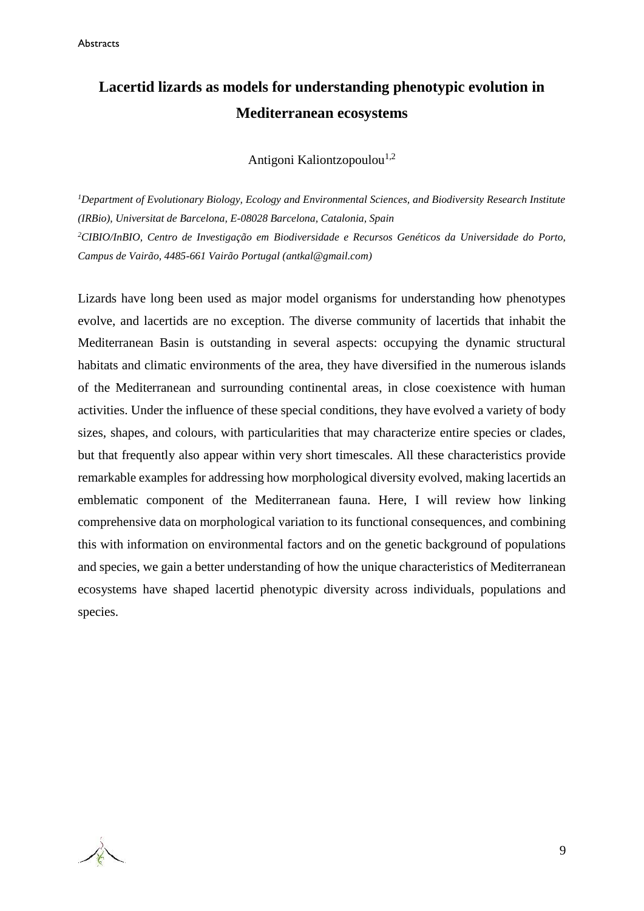### **Lacertid lizards as models for understanding phenotypic evolution in Mediterranean ecosystems**

Antigoni Kaliontzopoulou<sup>1,2</sup>

*<sup>1</sup>Department of Evolutionary Biology, Ecology and Environmental Sciences, and Biodiversity Research Institute (IRBio), Universitat de Barcelona, E-08028 Barcelona, Catalonia, Spain <sup>2</sup>CIBIO/InBIO, Centro de Investigação em Biodiversidade e Recursos Genéticos da Universidade do Porto, Campus de Vairão, 4485-661 Vairão Portugal [\(antkal@gmail.com\)](mailto:antkal@gmail.com)*

Lizards have long been used as major model organisms for understanding how phenotypes evolve, and lacertids are no exception. The diverse community of lacertids that inhabit the Mediterranean Basin is outstanding in several aspects: occupying the dynamic structural habitats and climatic environments of the area, they have diversified in the numerous islands of the Mediterranean and surrounding continental areas, in close coexistence with human activities. Under the influence of these special conditions, they have evolved a variety of body sizes, shapes, and colours, with particularities that may characterize entire species or clades, but that frequently also appear within very short timescales. All these characteristics provide remarkable examples for addressing how morphological diversity evolved, making lacertids an emblematic component of the Mediterranean fauna. Here, I will review how linking comprehensive data on morphological variation to its functional consequences, and combining this with information on environmental factors and on the genetic background of populations and species, we gain a better understanding of how the unique characteristics of Mediterranean ecosystems have shaped lacertid phenotypic diversity across individuals, populations and species.

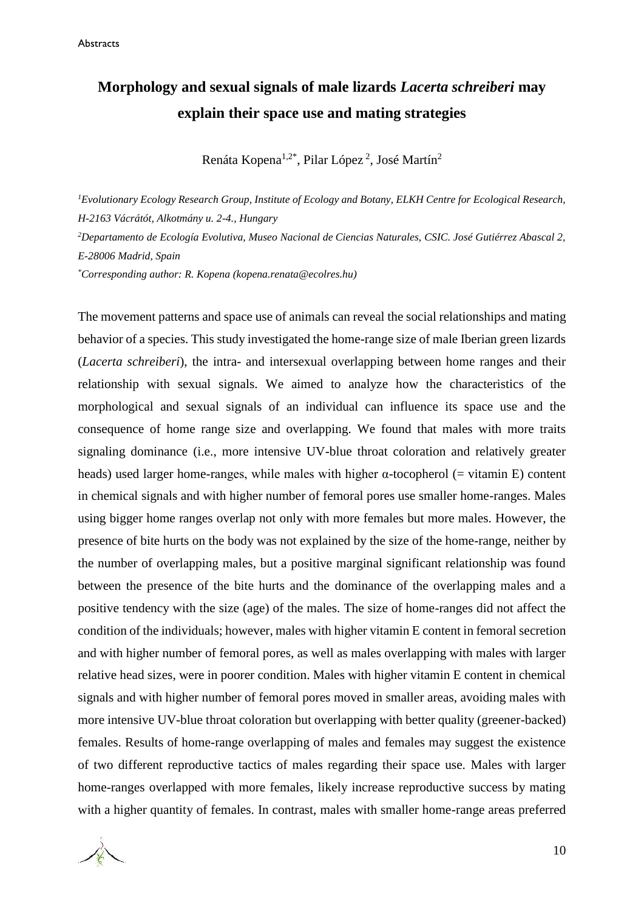### **Morphology and sexual signals of male lizards** *Lacerta schreiberi* **may explain their space use and mating strategies**

Renáta Kopena<sup>1,2\*</sup>, Pilar López<sup>2</sup>, José Martín<sup>2</sup>

*<sup>1</sup>Evolutionary Ecology Research Group, Institute of Ecology and Botany, ELKH Centre for Ecological Research, H-2163 Vácrátót, Alkotmány u. 2-4., Hungary <sup>2</sup>Departamento de Ecología Evolutiva, Museo Nacional de Ciencias Naturales, CSIC. José Gutiérrez Abascal 2, E-28006 Madrid, Spain \*Corresponding author: R. Kopena (kopena.renata@ecolres.hu)*

The movement patterns and space use of animals can reveal the social relationships and mating behavior of a species. This study investigated the home-range size of male Iberian green lizards (*Lacerta schreiberi*), the intra- and intersexual overlapping between home ranges and their relationship with sexual signals. We aimed to analyze how the characteristics of the morphological and sexual signals of an individual can influence its space use and the consequence of home range size and overlapping. We found that males with more traits signaling dominance (i.e., more intensive UV-blue throat coloration and relatively greater heads) used larger home-ranges, while males with higher  $\alpha$ -tocopherol (= vitamin E) content in chemical signals and with higher number of femoral pores use smaller home-ranges. Males using bigger home ranges overlap not only with more females but more males. However, the presence of bite hurts on the body was not explained by the size of the home-range, neither by the number of overlapping males, but a positive marginal significant relationship was found between the presence of the bite hurts and the dominance of the overlapping males and a positive tendency with the size (age) of the males. The size of home-ranges did not affect the condition of the individuals; however, males with higher vitamin E content in femoral secretion and with higher number of femoral pores, as well as males overlapping with males with larger relative head sizes, were in poorer condition. Males with higher vitamin E content in chemical signals and with higher number of femoral pores moved in smaller areas, avoiding males with more intensive UV-blue throat coloration but overlapping with better quality (greener-backed) females. Results of home-range overlapping of males and females may suggest the existence of two different reproductive tactics of males regarding their space use. Males with larger home-ranges overlapped with more females, likely increase reproductive success by mating with a higher quantity of females. In contrast, males with smaller home-range areas preferred

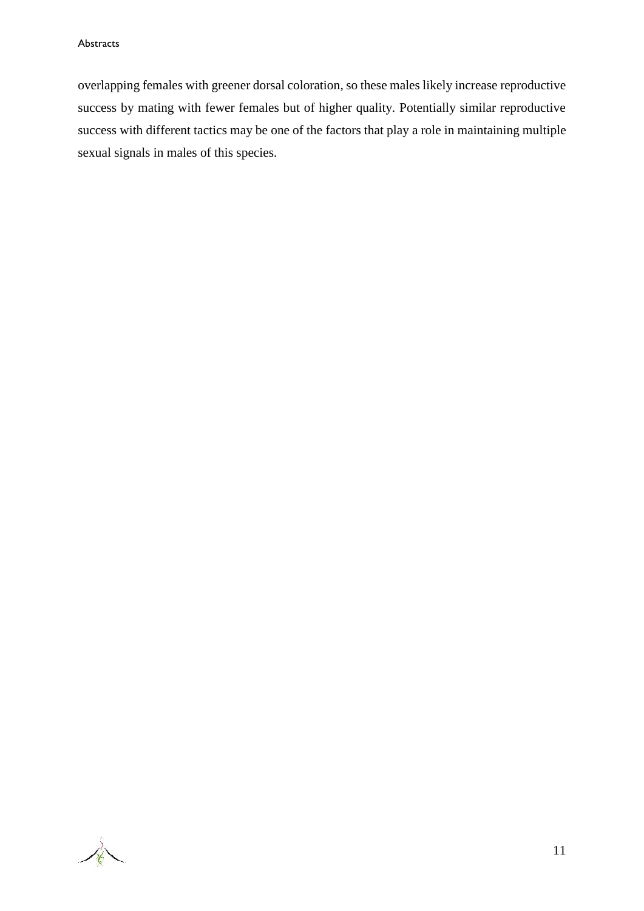overlapping females with greener dorsal coloration, so these males likely increase reproductive success by mating with fewer females but of higher quality. Potentially similar reproductive success with different tactics may be one of the factors that play a role in maintaining multiple sexual signals in males of this species.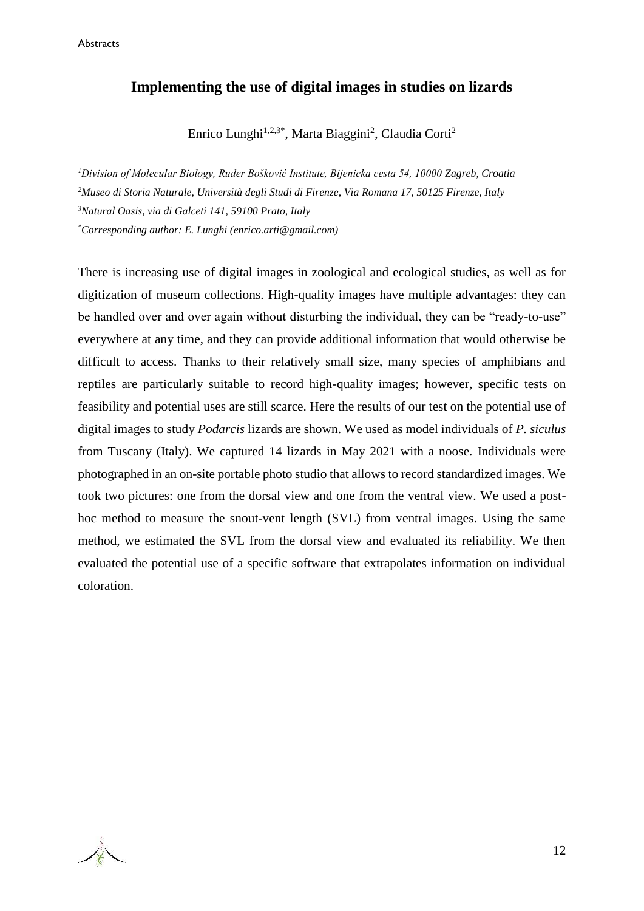#### **Implementing the use of digital images in studies on lizards**

Enrico Lunghi<sup>1,2,3\*</sup>, Marta Biaggini<sup>2</sup>, Claudia Corti<sup>2</sup>

*Division of Molecular Biology, Ruđer Bošković Institute, Bijenicka cesta 54, 10000 Zagreb, Croatia Museo di Storia Naturale, Università degli Studi di Firenze, Via Romana 17, 50125 Firenze, Italy Natural Oasis, via di Galceti 141, 59100 Prato, Italy \*Corresponding author: E. Lunghi (enrico.arti@gmail.com)*

There is increasing use of digital images in zoological and ecological studies, as well as for digitization of museum collections. High-quality images have multiple advantages: they can be handled over and over again without disturbing the individual, they can be "ready-to-use" everywhere at any time, and they can provide additional information that would otherwise be difficult to access. Thanks to their relatively small size, many species of amphibians and reptiles are particularly suitable to record high-quality images; however, specific tests on feasibility and potential uses are still scarce. Here the results of our test on the potential use of digital images to study *Podarcis* lizards are shown. We used as model individuals of *P. siculus* from Tuscany (Italy). We captured 14 lizards in May 2021 with a noose. Individuals were photographed in an on-site portable photo studio that allows to record standardized images. We took two pictures: one from the dorsal view and one from the ventral view. We used a posthoc method to measure the snout-vent length (SVL) from ventral images. Using the same method, we estimated the SVL from the dorsal view and evaluated its reliability. We then evaluated the potential use of a specific software that extrapolates information on individual coloration.

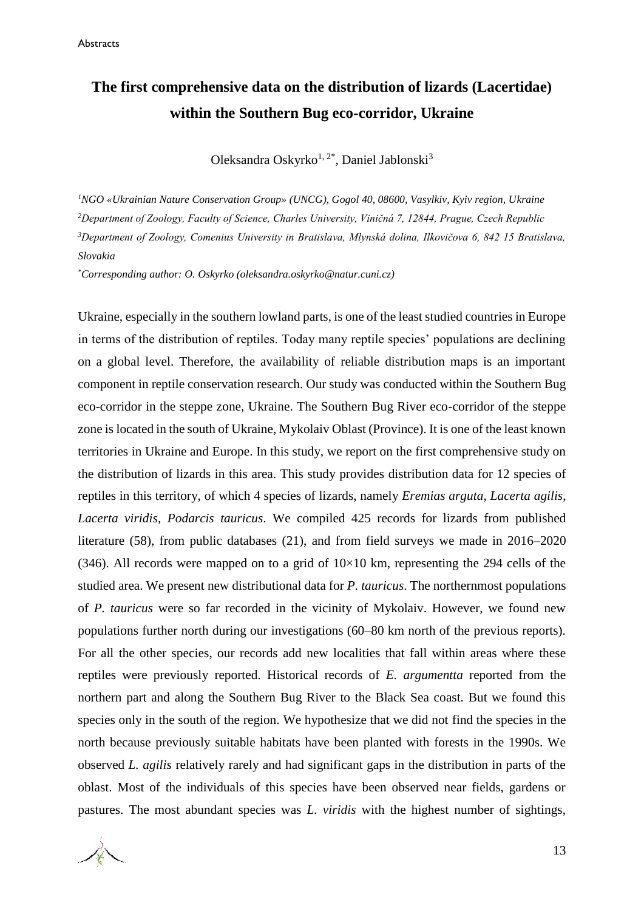### **The first comprehensive data on the distribution of lizards (Lacertidae) within the Southern Bug eco-corridor, Ukraine**

Oleksandra Oskyrko<sup>1, 2\*</sup>, Daniel Jablonski<sup>3</sup>

*NGO «Ukrainian Nature Conservation Group» (UNCG), Gogol 40, 08600, Vasylkiv, Kyiv region, Ukraine Department of Zoology, Faculty of Science, Charles University, Viničná 7, 12844, Prague, Czech Republic Department of Zoology, Comenius University in Bratislava, Mlynská dolina, Ilkovičova 6, 842 15 Bratislava, Slovakia*

*\*Corresponding author: O. Oskyrko (oleksandra.oskyrko@natur.cuni.cz)*

Ukraine, especially in the southern lowland parts, is one of the least studied countries in Europe in terms of the distribution of reptiles. Today many reptile species' populations are declining on a global level. Therefore, the availability of reliable distribution maps is an important component in reptile conservation research. Our study was conducted within the Southern Bug eco-corridor in the steppe zone, Ukraine. The Southern Bug River eco-corridor of the steppe zone is located in the south of Ukraine, Mykolaiv Oblast (Province). It is one of the least known territories in Ukraine and Europe. In this study, we report on the first comprehensive study on the distribution of lizards in this area. This study provides distribution data for 12 species of reptiles in this territory, of which 4 species of lizards, namely *Eremias arguta*, *Lacerta agilis*, *Lacerta viridis*, *Podarcis tauricus*. We compiled 425 records for lizards from published literature (58), from public databases (21), and from field surveys we made in 2016–2020 (346). All records were mapped on to a grid of  $10\times10$  km, representing the 294 cells of the studied area. We present new distributional data for *P. tauricus*. The northernmost populations of *P. tauricus* were so far recorded in the vicinity of Mykolaiv. However, we found new populations further north during our investigations (60–80 km north of the previous reports). For all the other species, our records add new localities that fall within areas where these reptiles were previously reported. Historical records of *E. argumentta* reported from the northern part and along the Southern Bug River to the Black Sea coast. But we found this species only in the south of the region. We hypothesize that we did not find the species in the north because previously suitable habitats have been planted with forests in the 1990s. We observed *L. agilis* relatively rarely and had significant gaps in the distribution in parts of the oblast. Most of the individuals of this species have been observed near fields, gardens or pastures. The most abundant species was *L. viridis* with the highest number of sightings,

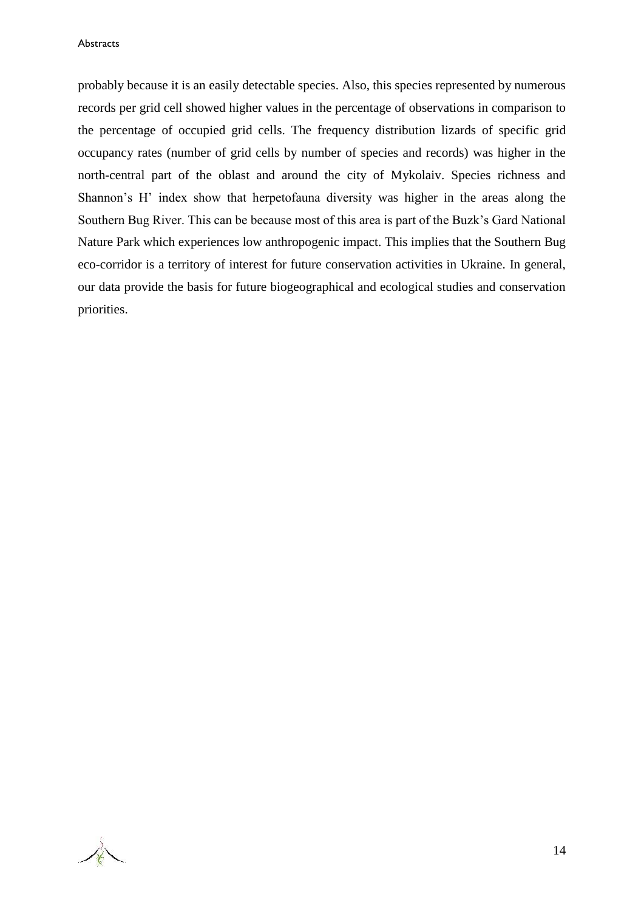**Abstracts** 

probably because it is an easily detectable species. Also, this species represented by numerous records per grid cell showed higher values in the percentage of observations in comparison to the percentage of occupied grid cells. The frequency distribution lizards of specific grid occupancy rates (number of grid cells by number of species and records) was higher in the north-central part of the oblast and around the city of Mykolaiv. Species richness and Shannon's H' index show that herpetofauna diversity was higher in the areas along the Southern Bug River. This can be because most of this area is part of the Buzk's Gard National Nature Park which experiences low anthropogenic impact. This implies that the Southern Bug eco-corridor is a territory of interest for future conservation activities in Ukraine. In general, our data provide the basis for future biogeographical and ecological studies and conservation priorities.

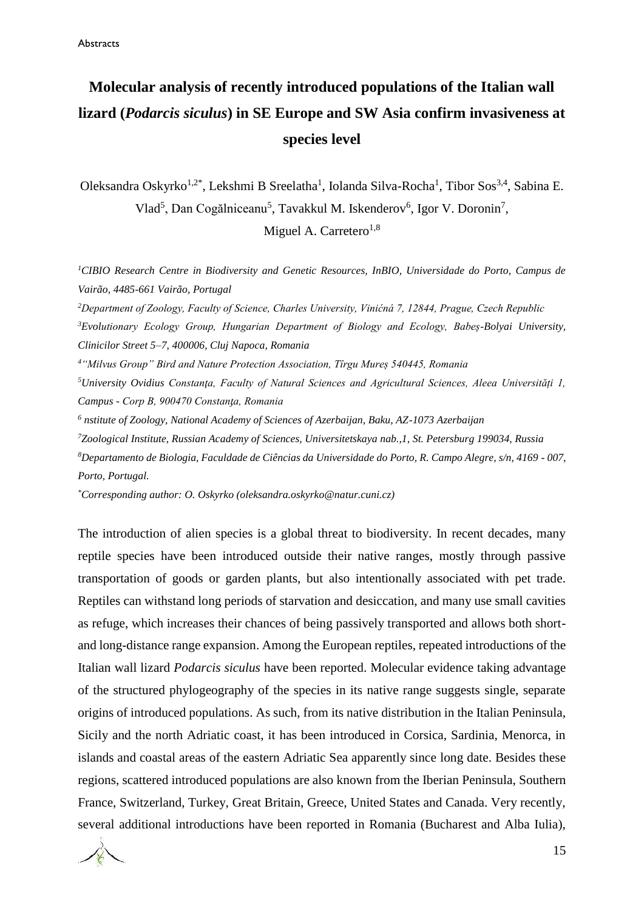### **Molecular analysis of recently introduced populations of the Italian wall lizard (***Podarcis siculus***) in SE Europe and SW Asia confirm invasiveness at species level**

Oleksandra Oskyrko<sup>1,2\*</sup>, Lekshmi B Sreelatha<sup>1</sup>, Iolanda Silva-Rocha<sup>1</sup>, Tibor Sos<sup>3,4</sup>, Sabina E. Vlad<sup>5</sup>, Dan Cogălniceanu<sup>5</sup>, Tavakkul M. Iskenderov<sup>6</sup>, Igor V. Doronin<sup>7</sup>, Miguel A. Carretero<sup>1,8</sup>

*<sup>1</sup>CIBIO Research Centre in Biodiversity and Genetic Resources, InBIO, Universidade do Porto, Campus de Vairão, 4485-661 Vairão, Portugal*

*Department of Zoology, Faculty of Science, Charles University, Vinićná 7, 12844, Prague, Czech Republic Evolutionary Ecology Group, Hungarian Department of Biology and Ecology, Babeș-Bolyai University, Clinicilor Street 5–7, 400006, Cluj Napoca, Romania "Milvus Group" Bird and Nature Protection Association, Tîrgu Mureș 540445, Romania University Ovidius Constanţa, Faculty of Natural Sciences and Agricultural Sciences, Aleea Universități 1, Campus - Corp B, 900470 Constanƫa, Romania*

*<sup>6</sup> nstitute of Zoology, National Academy of Sciences of Azerbaijan, Baku, AZ-1073 Azerbaijan*

*<sup>7</sup>Zoological Institute, Russian Academy of Sciences, Universitetskaya nab.,1, St. Petersburg 199034, Russia*

*<sup>8</sup>Departamento de Biologia, Faculdade de Ciências da Universidade do Porto, R. Campo Alegre, s/n, 4169 - 007, Porto, Portugal.*

*\*Corresponding author: O. Oskyrko (oleksandra.oskyrko@natur.cuni.cz)*

The introduction of alien species is a global threat to biodiversity. In recent decades, many reptile species have been introduced outside their native ranges, mostly through passive transportation of goods or garden plants, but also intentionally associated with pet trade. Reptiles can withstand long periods of starvation and desiccation, and many use small cavities as refuge, which increases their chances of being passively transported and allows both shortand long-distance range expansion. Among the European reptiles, repeated introductions of the Italian wall lizard *Podarcis siculus* have been reported. Molecular evidence taking advantage of the structured phylogeography of the species in its native range suggests single, separate origins of introduced populations. As such, from its native distribution in the Italian Peninsula, Sicily and the north Adriatic coast, it has been introduced in Corsica, Sardinia, Menorca, in islands and coastal areas of the eastern Adriatic Sea apparently since long date. Besides these regions, scattered introduced populations are also known from the Iberian Peninsula, Southern France, Switzerland, Turkey, Great Britain, Greece, United States and Canada. Very recently, several additional introductions have been reported in Romania (Bucharest and Alba Iulia),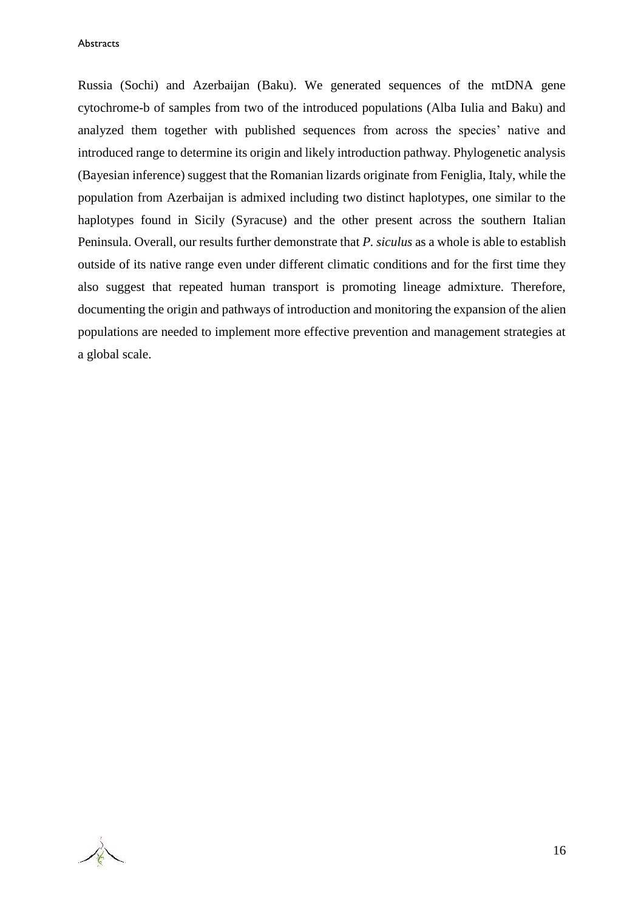#### **Abstracts**

Russia (Sochi) and Azerbaijan (Baku). We generated sequences of the mtDNA gene cytochrome-b of samples from two of the introduced populations (Alba Iulia and Baku) and analyzed them together with published sequences from across the species' native and introduced range to determine its origin and likely introduction pathway. Phylogenetic analysis (Bayesian inference) suggest that the Romanian lizards originate from Feniglia, Italy, while the population from Azerbaijan is admixed including two distinct haplotypes, one similar to the haplotypes found in Sicily (Syracuse) and the other present across the southern Italian Peninsula. Overall, our results further demonstrate that *P. siculus* as a whole is able to establish outside of its native range even under different climatic conditions and for the first time they also suggest that repeated human transport is promoting lineage admixture. Therefore, documenting the origin and pathways of introduction and monitoring the expansion of the alien populations are needed to implement more effective prevention and management strategies at a global scale.

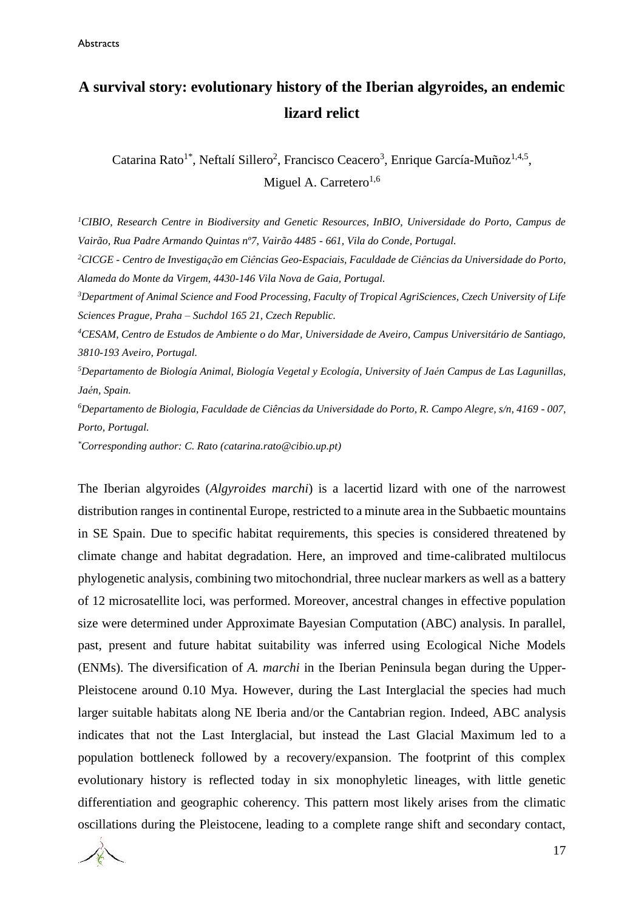### **A survival story: evolutionary history of the Iberian algyroides, an endemic lizard relict**

Catarina Rato<sup>1\*</sup>, Neftalí Sillero<sup>2</sup>, Francisco Ceacero<sup>3</sup>, Enrique García-Muñoz<sup>1,4,5</sup>, Miguel A. Carretero $^{1,6}$ 

*<sup>1</sup>CIBIO, Research Centre in Biodiversity and Genetic Resources, InBIO, Universidade do Porto, Campus de Vairão, Rua Padre Armando Quintas nº7, Vairão 4485 - 661, Vila do Conde, Portugal.*

*<sup>2</sup>CICGE - Centro de Investigação em Ciências Geo-Espaciais, Faculdade de Ciências da Universidade do Porto, Alameda do Monte da Virgem, 4430-146 Vila Nova de Gaia, Portugal.*

*<sup>3</sup>Department of Animal Science and Food Processing, Faculty of Tropical AgriSciences, Czech University of Life Sciences Prague, Praha – Suchdol 165 21, Czech Republic.*

*<sup>4</sup>CESAM, Centro de Estudos de Ambiente o do Mar, Universidade de Aveiro, Campus Universitário de Santiago, 3810-193 Aveiro, Portugal.*

*<sup>5</sup>Departamento de Biología Animal, Biología Vegetal y Ecología, University of Jaén Campus de Las Lagunillas, Jaén, Spain.*

*<sup>6</sup>Departamento de Biologia, Faculdade de Ciências da Universidade do Porto, R. Campo Alegre, s/n, 4169 - 007, Porto, Portugal.*

*\*Corresponding author: C. Rato (catarina.rato@cibio.up.pt)*

The Iberian algyroides (*Algyroides marchi*) is a lacertid lizard with one of the narrowest distribution ranges in continental Europe, restricted to a minute area in the Subbaetic mountains in SE Spain. Due to specific habitat requirements, this species is considered threatened by climate change and habitat degradation. Here, an improved and time-calibrated multilocus phylogenetic analysis, combining two mitochondrial, three nuclear markers as well as a battery of 12 microsatellite loci, was performed. Moreover, ancestral changes in effective population size were determined under Approximate Bayesian Computation (ABC) analysis. In parallel, past, present and future habitat suitability was inferred using Ecological Niche Models (ENMs). The diversification of *A. marchi* in the Iberian Peninsula began during the Upper-Pleistocene around 0.10 Mya. However, during the Last Interglacial the species had much larger suitable habitats along NE Iberia and/or the Cantabrian region. Indeed, ABC analysis indicates that not the Last Interglacial, but instead the Last Glacial Maximum led to a population bottleneck followed by a recovery/expansion. The footprint of this complex evolutionary history is reflected today in six monophyletic lineages, with little genetic differentiation and geographic coherency. This pattern most likely arises from the climatic oscillations during the Pleistocene, leading to a complete range shift and secondary contact,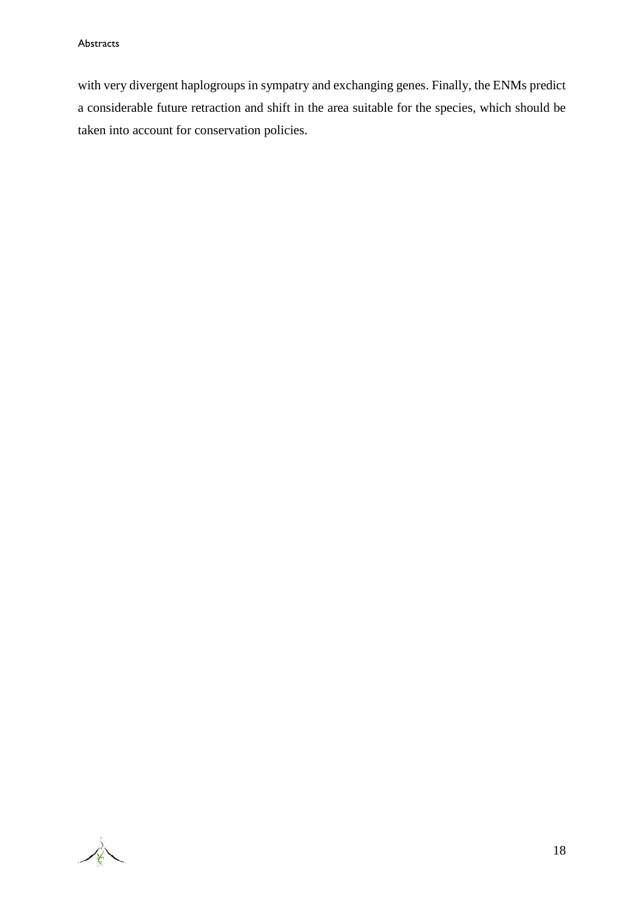with very divergent haplogroups in sympatry and exchanging genes. Finally, the ENMs predict a considerable future retraction and shift in the area suitable for the species, which should be taken into account for conservation policies.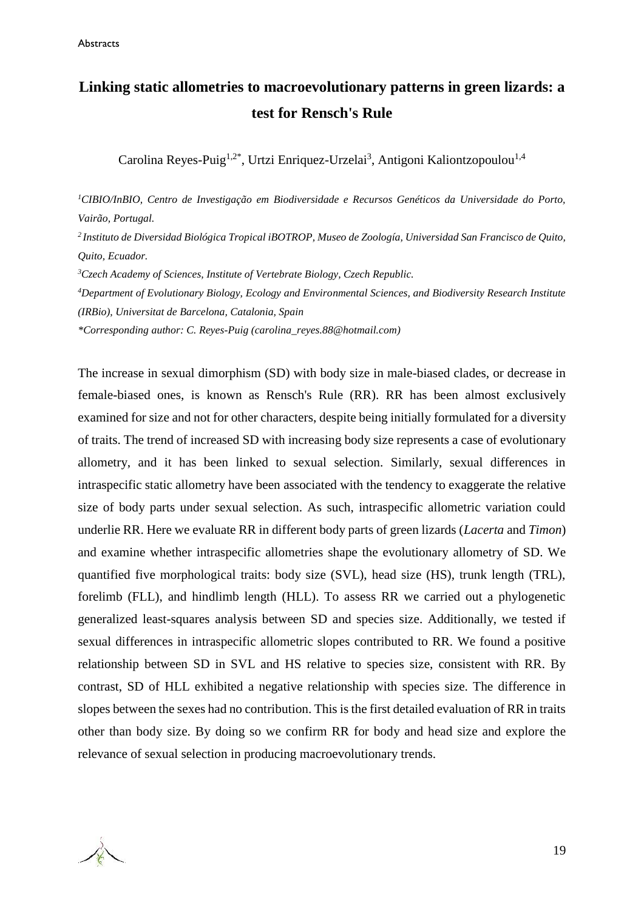### **Linking static allometries to macroevolutionary patterns in green lizards: a test for Rensch's Rule**

Carolina Reyes-Puig<sup>1,2\*</sup>, Urtzi Enriquez-Urzelai<sup>3</sup>, Antigoni Kaliontzopoulou<sup>1,4</sup>

*<sup>1</sup>CIBIO/InBIO, Centro de Investigação em Biodiversidade e Recursos Genéticos da Universidade do Porto, Vairão, Portugal.* 

*<sup>2</sup>Instituto de Diversidad Biológica Tropical iBOTROP, Museo de Zoología, Universidad San Francisco de Quito, Quito, Ecuador.* 

*<sup>3</sup>Czech Academy of Sciences, Institute of Vertebrate Biology, Czech Republic.*

*<sup>4</sup>Department of Evolutionary Biology, Ecology and Environmental Sciences, and Biodiversity Research Institute (IRBio), Universitat de Barcelona, Catalonia, Spain*

*\*Corresponding author: C. Reyes-Puig [\(carolina\\_reyes.88@hotmail.com\)](mailto:carolina_reyes.88@hotmail.com)*

The increase in sexual dimorphism (SD) with body size in male-biased clades, or decrease in female-biased ones, is known as Rensch's Rule (RR). RR has been almost exclusively examined for size and not for other characters, despite being initially formulated for a diversity of traits. The trend of increased SD with increasing body size represents a case of evolutionary allometry, and it has been linked to sexual selection. Similarly, sexual differences in intraspecific static allometry have been associated with the tendency to exaggerate the relative size of body parts under sexual selection. As such, intraspecific allometric variation could underlie RR. Here we evaluate RR in different body parts of green lizards (*Lacerta* and *Timon*) and examine whether intraspecific allometries shape the evolutionary allometry of SD. We quantified five morphological traits: body size (SVL), head size (HS), trunk length (TRL), forelimb (FLL), and hindlimb length (HLL). To assess RR we carried out a phylogenetic generalized least-squares analysis between SD and species size. Additionally, we tested if sexual differences in intraspecific allometric slopes contributed to RR. We found a positive relationship between SD in SVL and HS relative to species size, consistent with RR. By contrast, SD of HLL exhibited a negative relationship with species size. The difference in slopes between the sexes had no contribution. This is the first detailed evaluation of RR in traits other than body size. By doing so we confirm RR for body and head size and explore the relevance of sexual selection in producing macroevolutionary trends.

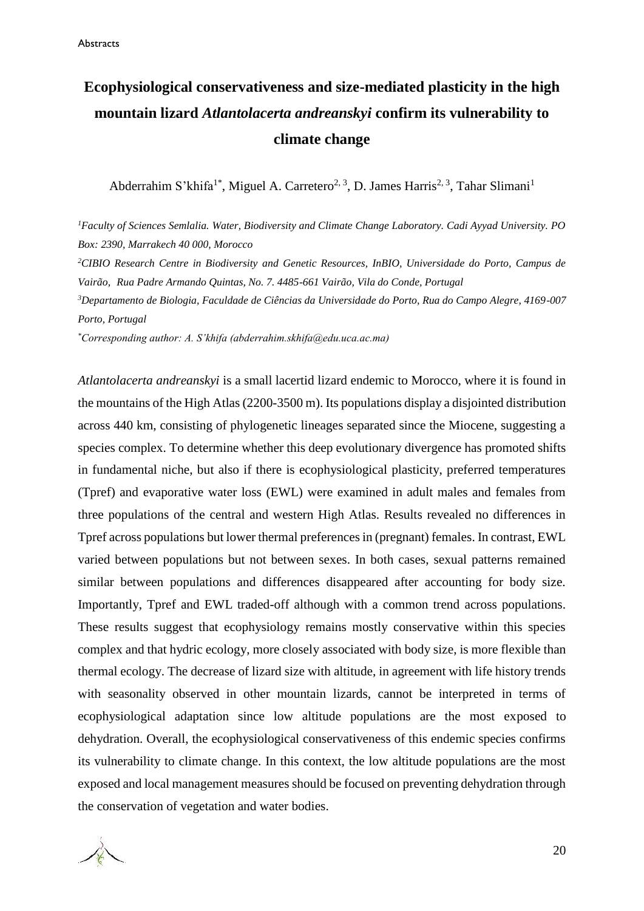### **Ecophysiological conservativeness and size-mediated plasticity in the high mountain lizard** *Atlantolacerta andreanskyi* **confirm its vulnerability to climate change**

Abderrahim S'khifa<sup>1\*</sup>, Miguel A. Carretero<sup>2, 3</sup>, D. James Harris<sup>2, 3</sup>, Tahar Slimani<sup>1</sup>

*<sup>1</sup>Faculty of Sciences Semlalia. Water, Biodiversity and Climate Change Laboratory. Cadi Ayyad University. PO Box: 2390, Marrakech 40 000, Morocco*

*<sup>2</sup>CIBIO Research Centre in Biodiversity and Genetic Resources, InBIO, Universidade do Porto, Campus de Vairão, Rua Padre Armando Quintas, No. 7. 4485-661 Vairão, Vila do Conde, Portugal*

*<sup>3</sup>Departamento de Biologia, Faculdade de Ciências da Universidade do Porto, Rua do Campo Alegre, 4169-007 Porto, Portugal*

*\*Corresponding author: A. S'khifa (abderrahim.skhifa@edu.uca.ac.ma)*

*Atlantolacerta andreanskyi* is a small lacertid lizard endemic to Morocco, where it is found in the mountains of the High Atlas (2200-3500 m). Its populations display a disjointed distribution across 440 km, consisting of phylogenetic lineages separated since the Miocene, suggesting a species complex. To determine whether this deep evolutionary divergence has promoted shifts in fundamental niche, but also if there is ecophysiological plasticity, preferred temperatures (Tpref) and evaporative water loss (EWL) were examined in adult males and females from three populations of the central and western High Atlas. Results revealed no differences in Tpref across populations but lower thermal preferences in (pregnant) females. In contrast, EWL varied between populations but not between sexes. In both cases, sexual patterns remained similar between populations and differences disappeared after accounting for body size. Importantly, Tpref and EWL traded-off although with a common trend across populations. These results suggest that ecophysiology remains mostly conservative within this species complex and that hydric ecology, more closely associated with body size, is more flexible than thermal ecology. The decrease of lizard size with altitude, in agreement with life history trends with seasonality observed in other mountain lizards, cannot be interpreted in terms of ecophysiological adaptation since low altitude populations are the most exposed to dehydration. Overall, the ecophysiological conservativeness of this endemic species confirms its vulnerability to climate change. In this context, the low altitude populations are the most exposed and local management measures should be focused on preventing dehydration through the conservation of vegetation and water bodies.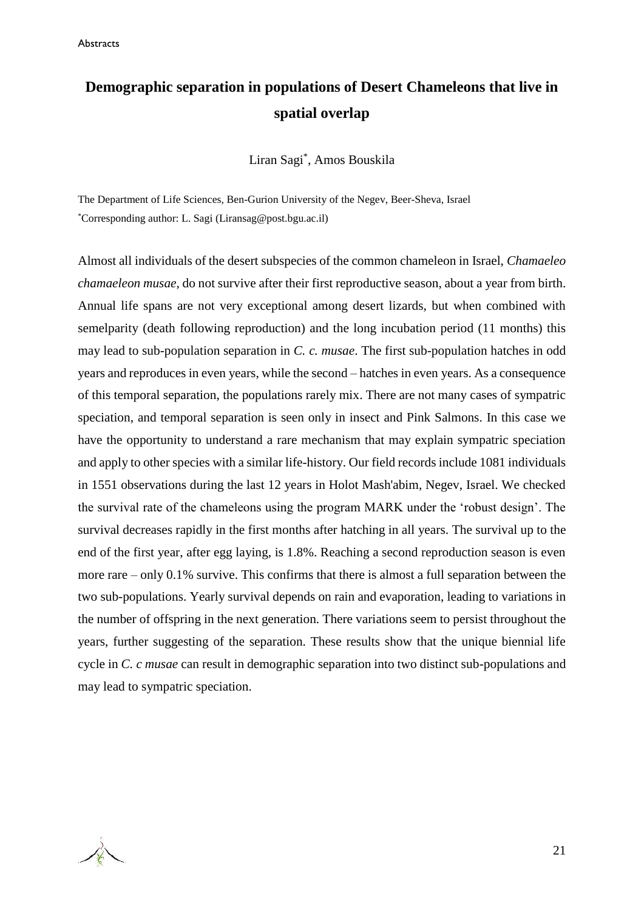### **Demographic separation in populations of Desert Chameleons that live in spatial overlap**

Liran Sagi\* , Amos Bouskila

The Department of Life Sciences, Ben-Gurion University of the Negev, Beer-Sheva, Israel \*Corresponding author: L. Sagi (Liransag@post.bgu.ac.il)

Almost all individuals of the desert subspecies of the common chameleon in Israel, *Chamaeleo chamaeleon musae*, do not survive after their first reproductive season, about a year from birth. Annual life spans are not very exceptional among desert lizards, but when combined with semelparity (death following reproduction) and the long incubation period (11 months) this may lead to sub-population separation in *C. c. musae*. The first sub-population hatches in odd years and reproduces in even years, while the second – hatches in even years. As a consequence of this temporal separation, the populations rarely mix. There are not many cases of sympatric speciation, and temporal separation is seen only in insect and Pink Salmons. In this case we have the opportunity to understand a rare mechanism that may explain sympatric speciation and apply to other species with a similar life-history. Our field records include 1081 individuals in 1551 observations during the last 12 years in Holot Mash'abim, Negev, Israel. We checked the survival rate of the chameleons using the program MARK under the 'robust design'. The survival decreases rapidly in the first months after hatching in all years. The survival up to the end of the first year, after egg laying, is 1.8%. Reaching a second reproduction season is even more rare – only 0.1% survive. This confirms that there is almost a full separation between the two sub-populations. Yearly survival depends on rain and evaporation, leading to variations in the number of offspring in the next generation. There variations seem to persist throughout the years, further suggesting of the separation. These results show that the unique biennial life cycle in *C. c musae* can result in demographic separation into two distinct sub-populations and may lead to sympatric speciation.

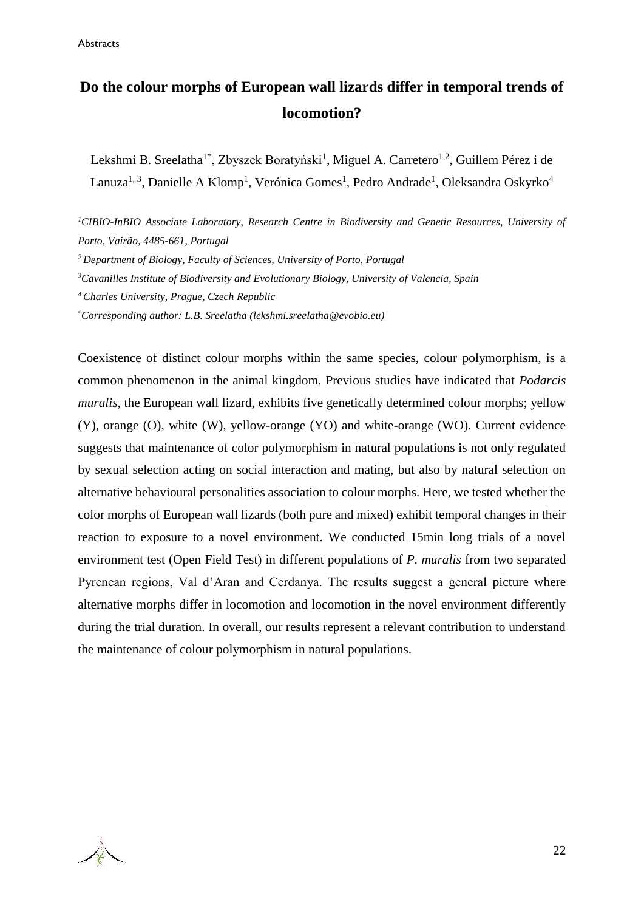### **Do the colour morphs of European wall lizards differ in temporal trends of locomotion?**

Lekshmi B. Sreelatha<sup>1\*</sup>, Zbyszek Boratyński<sup>1</sup>, Miguel A. Carretero<sup>1,2</sup>, Guillem Pérez i de Lanuza<sup>1, 3</sup>, Danielle A Klomp<sup>1</sup>, Verónica Gomes<sup>1</sup>, Pedro Andrade<sup>1</sup>, Oleksandra Oskyrko<sup>4</sup>

*CIBIO-InBIO Associate Laboratory, Research Centre in Biodiversity and Genetic Resources, University of Porto, Vairão, 4485-661, Portugal Department of Biology, Faculty of Sciences, University of Porto, Portugal Cavanilles Institute of Biodiversity and Evolutionary Biology, University of Valencia, Spain Charles University, Prague, Czech Republic \*Corresponding author: L.B. Sreelatha (lekshmi.sreelatha@evobio.eu)*

Coexistence of distinct colour morphs within the same species, colour polymorphism, is a common phenomenon in the animal kingdom. Previous studies have indicated that *Podarcis muralis*, the European wall lizard, exhibits five genetically determined colour morphs; yellow (Y), orange (O), white (W), yellow-orange (YO) and white-orange (WO). Current evidence suggests that maintenance of color polymorphism in natural populations is not only regulated by sexual selection acting on social interaction and mating, but also by natural selection on alternative behavioural personalities association to colour morphs. Here, we tested whether the color morphs of European wall lizards (both pure and mixed) exhibit temporal changes in their reaction to exposure to a novel environment. We conducted 15min long trials of a novel environment test (Open Field Test) in different populations of *P. muralis* from two separated Pyrenean regions, Val d'Aran and Cerdanya. The results suggest a general picture where alternative morphs differ in locomotion and locomotion in the novel environment differently during the trial duration. In overall, our results represent a relevant contribution to understand the maintenance of colour polymorphism in natural populations.

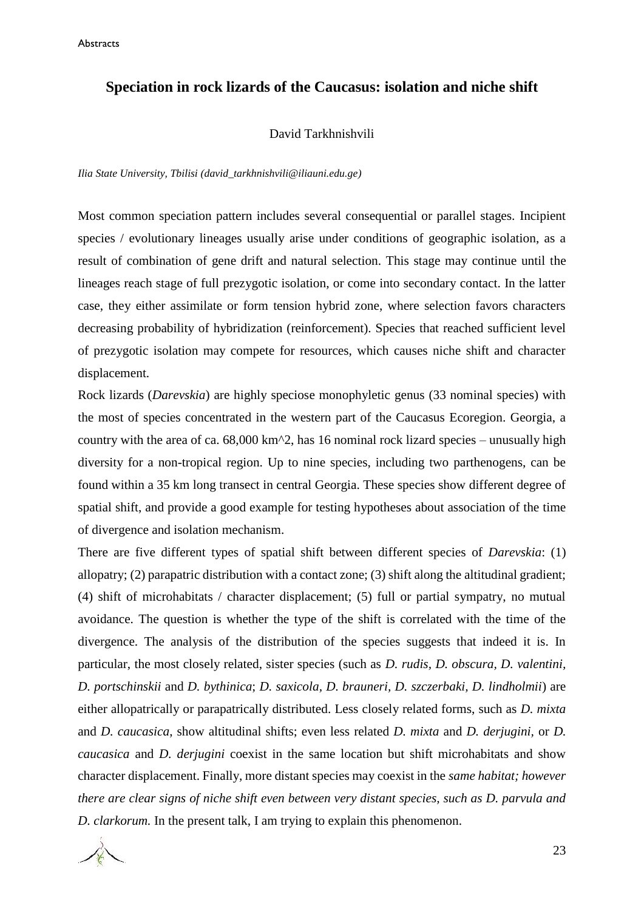#### **Speciation in rock lizards of the Caucasus: isolation and niche shift**

#### David Tarkhnishvili

*Ilia State University, Tbilisi [\(david\\_tarkhnishvili@iliauni.edu.ge\)](mailto:david_tarkhnishvili@iliauni.edu.ge)*

Most common speciation pattern includes several consequential or parallel stages. Incipient species / evolutionary lineages usually arise under conditions of geographic isolation, as a result of combination of gene drift and natural selection. This stage may continue until the lineages reach stage of full prezygotic isolation, or come into secondary contact. In the latter case, they either assimilate or form tension hybrid zone, where selection favors characters decreasing probability of hybridization (reinforcement). Species that reached sufficient level of prezygotic isolation may compete for resources, which causes niche shift and character displacement.

Rock lizards (*Darevskia*) are highly speciose monophyletic genus (33 nominal species) with the most of species concentrated in the western part of the Caucasus Ecoregion. Georgia, a country with the area of ca.  $68,000 \text{ km}^2$ , has 16 nominal rock lizard species – unusually high diversity for a non-tropical region. Up to nine species, including two parthenogens, can be found within a 35 km long transect in central Georgia. These species show different degree of spatial shift, and provide a good example for testing hypotheses about association of the time of divergence and isolation mechanism.

There are five different types of spatial shift between different species of *Darevskia*: (1) allopatry; (2) parapatric distribution with a contact zone; (3) shift along the altitudinal gradient; (4) shift of microhabitats / character displacement; (5) full or partial sympatry, no mutual avoidance. The question is whether the type of the shift is correlated with the time of the divergence. The analysis of the distribution of the species suggests that indeed it is. In particular, the most closely related, sister species (such as *D. rudis, D. obscura, D. valentini, D. portschinskii* and *D. bythinica*; *D. saxicola, D. brauneri, D. szczerbaki, D. lindholmii*) are either allopatrically or parapatrically distributed. Less closely related forms, such as *D. mixta*  and *D. caucasica*, show altitudinal shifts; even less related *D. mixta* and *D. derjugini,* or *D. caucasica* and *D. derjugini* coexist in the same location but shift microhabitats and show character displacement. Finally, more distant species may coexist in the *same habitat; however there are clear signs of niche shift even between very distant species, such as D. parvula and D. clarkorum.* In the present talk, I am trying to explain this phenomenon.

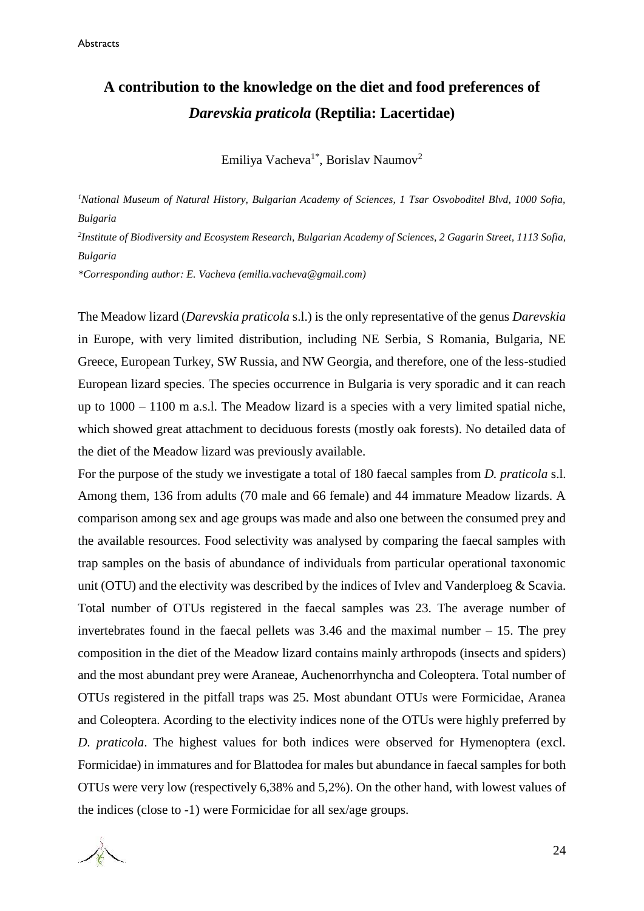### **A contribution to the knowledge on the diet and food preferences of**  *Darevskia praticola* **(Reptilia: Lacertidae)**

Emiliya Vacheva<sup>1\*</sup>, Borislav Naumov<sup>2</sup>

*<sup>1</sup>National Museum of Natural History, Bulgarian Academy of Sciences, 1 Tsar Osvoboditel Blvd, 1000 Sofia, Bulgaria*

<sup>2</sup>Institute of Biodiversity and Ecosystem Research, Bulgarian Academy of Sciences, 2 Gagarin Street, 1113 Sofia, *Bulgaria*

*\*Corresponding author: E. Vacheva (emilia.vacheva@gmail.com)*

The Meadow lizard (*Darevskia praticola* s.l.) is the only representative of the genus *Darevskia* in Europe, with very limited distribution, including NE Serbia, S Romania, Bulgaria, NE Greece, European Turkey, SW Russia, and NW Georgia, and therefore, one of the less-studied European lizard species. The species occurrence in Bulgaria is very sporadic and it can reach up to 1000 – 1100 m a.s.l. The Meadow lizard is a species with a very limited spatial niche, which showed great attachment to deciduous forests (mostly oak forests). No detailed data of the diet of the Meadow lizard was previously available.

For the purpose of the study we investigate a total of 180 faecal samples from *D. praticola* s.l. Among them, 136 from adults (70 male and 66 female) and 44 immature Meadow lizards. A comparison among sex and age groups was made and also one between the consumed prey and the available resources. Food selectivity was analysed by comparing the faecal samples with trap samples on the basis of abundance of individuals from particular operational taxonomic unit (OTU) and the electivity was described by the indices of Ivlev and Vanderploeg & Scavia. Total number of OTUs registered in the faecal samples was 23. The average number of invertebrates found in the faecal pellets was 3.46 and the maximal number – 15. The prey composition in the diet of the Meadow lizard contains mainly arthropods (insects and spiders) and the most abundant prey were Araneae, Auchenorrhyncha and Coleoptera. Total number of OTUs registered in the pitfall traps was 25. Most abundant OTUs were Formicidae, Aranea and Coleoptera. Acording to the electivity indices none of the OTUs were highly preferred by *D. praticola*. The highest values for both indices were observed for Hymenoptera (excl. Formicidae) in immatures and for Blattodea for males but abundance in faecal samples for both OTUs were very low (respectively 6,38% and 5,2%). On the other hand, with lowest values of the indices (close to -1) were Formicidae for all sex/age groups.

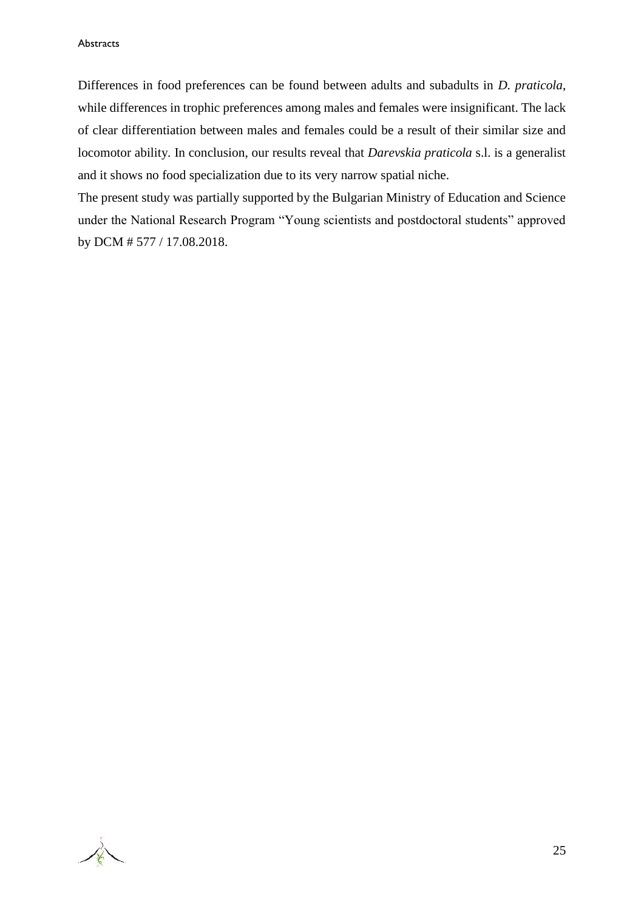Differences in food preferences can be found between adults and subadults in *D. praticola*, while differences in trophic preferences among males and females were insignificant. The lack of clear differentiation between males and females could be a result of their similar size and locomotor ability. In conclusion, our results reveal that *Darevskia praticola* s.l. is a generalist and it shows no food specialization due to its very narrow spatial niche.

The present study was partially supported by the Bulgarian Ministry of Education and Science under the National Research Program "Young scientists and postdoctoral students" approved by DCM # 577 / 17.08.2018.

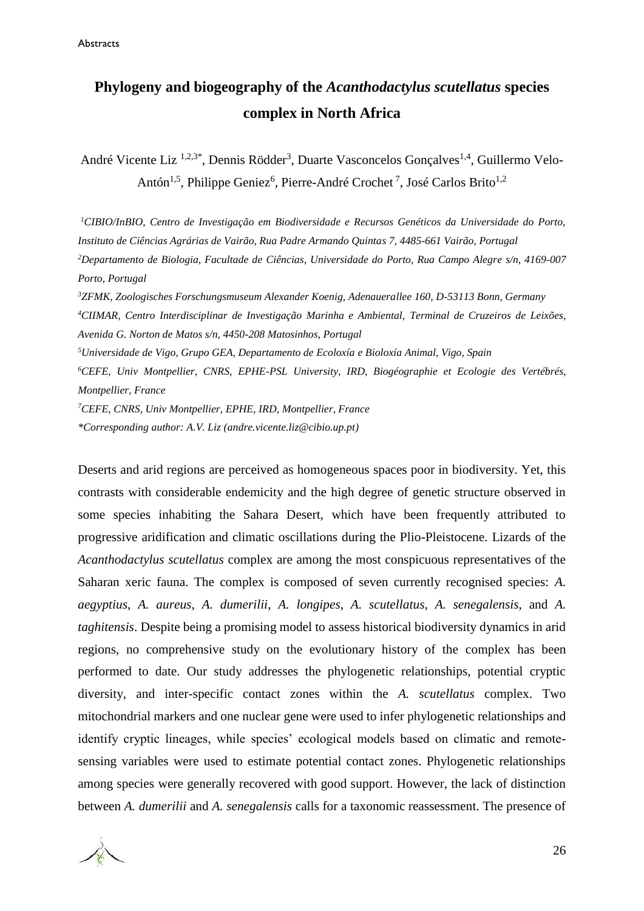### **Phylogeny and biogeography of the** *Acanthodactylus scutellatus* **species complex in North Africa**

André Vicente Liz <sup>1,2,3\*</sup>, Dennis Rödder<sup>3</sup>, Duarte Vasconcelos Gonçalves<sup>1,4</sup>, Guillermo Velo-Antón<sup>1,5</sup>, Philippe Geniez<sup>6</sup>, Pierre-André Crochet<sup>7</sup>, José Carlos Brito<sup>1,2</sup>

*CIBIO/InBIO, Centro de Investigação em Biodiversidade e Recursos Genéticos da Universidade do Porto, Instituto de Ciências Agrárias de Vairão, Rua Padre Armando Quintas 7, 4485-661 Vairão, Portugal Departamento de Biologia, Facultade de Ciências, Universidade do Porto, Rua Campo Alegre s/n, 4169-007 Porto, Portugal ZFMK, Zoologisches Forschungsmuseum Alexander Koenig, Adenauerallee 160, D-53113 Bonn, Germany CIIMAR, Centro Interdisciplinar de Investigação Marinha e Ambiental, Terminal de Cruzeiros de Leixões, Avenida G. Norton de Matos s/n, 4450-208 Matosinhos, Portugal Universidade de Vigo, Grupo GEA, Departamento de Ecoloxía e Bioloxía Animal, Vigo, Spain CEFE, Univ Montpellier, CNRS, EPHE-PSL University, IRD, Biogéographie et Ecologie des Vertébrés, Montpellier, France CEFE, CNRS, Univ Montpellier, EPHE, IRD, Montpellier, France*

*\*Corresponding author: A.V. Liz [\(andre.vicente.liz@cibio.up.pt\)](mailto:andre.vicente.liz@cibio.up.pt)*

Deserts and arid regions are perceived as homogeneous spaces poor in biodiversity. Yet, this contrasts with considerable endemicity and the high degree of genetic structure observed in some species inhabiting the Sahara Desert, which have been frequently attributed to progressive aridification and climatic oscillations during the Plio-Pleistocene. Lizards of the *Acanthodactylus scutellatus* complex are among the most conspicuous representatives of the Saharan xeric fauna. The complex is composed of seven currently recognised species: *A. aegyptius*, *A. aureus*, *A. dumerilii*, *A. longipes*, *A. scutellatus*, *A. senegalensis*, and *A. taghitensis*. Despite being a promising model to assess historical biodiversity dynamics in arid regions, no comprehensive study on the evolutionary history of the complex has been performed to date. Our study addresses the phylogenetic relationships, potential cryptic diversity, and inter-specific contact zones within the *A. scutellatus* complex. Two mitochondrial markers and one nuclear gene were used to infer phylogenetic relationships and identify cryptic lineages, while species' ecological models based on climatic and remotesensing variables were used to estimate potential contact zones. Phylogenetic relationships among species were generally recovered with good support. However, the lack of distinction between *A. dumerilii* and *A. senegalensis* calls for a taxonomic reassessment. The presence of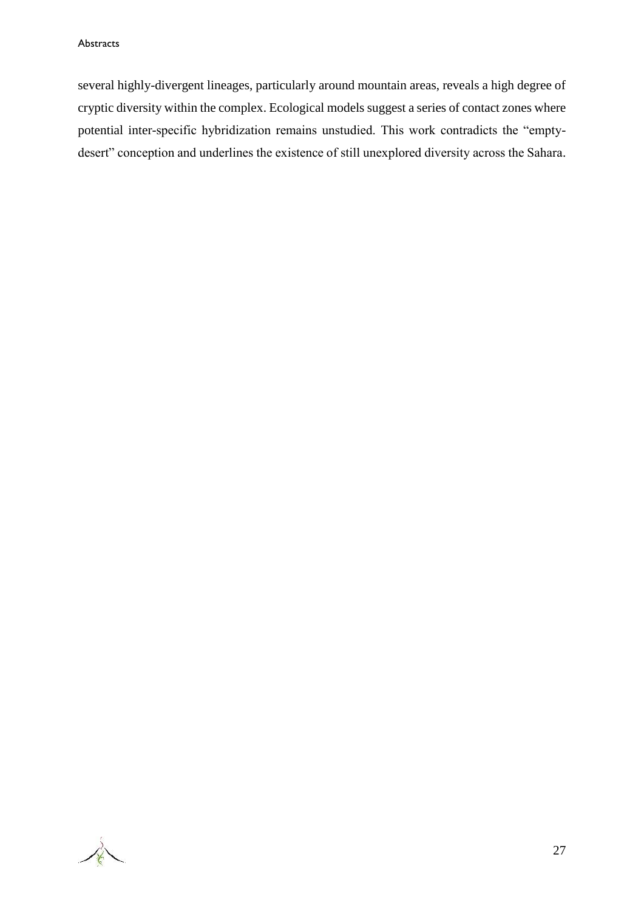several highly-divergent lineages, particularly around mountain areas, reveals a high degree of cryptic diversity within the complex. Ecological models suggest a series of contact zones where potential inter-specific hybridization remains unstudied. This work contradicts the "emptydesert" conception and underlines the existence of still unexplored diversity across the Sahara.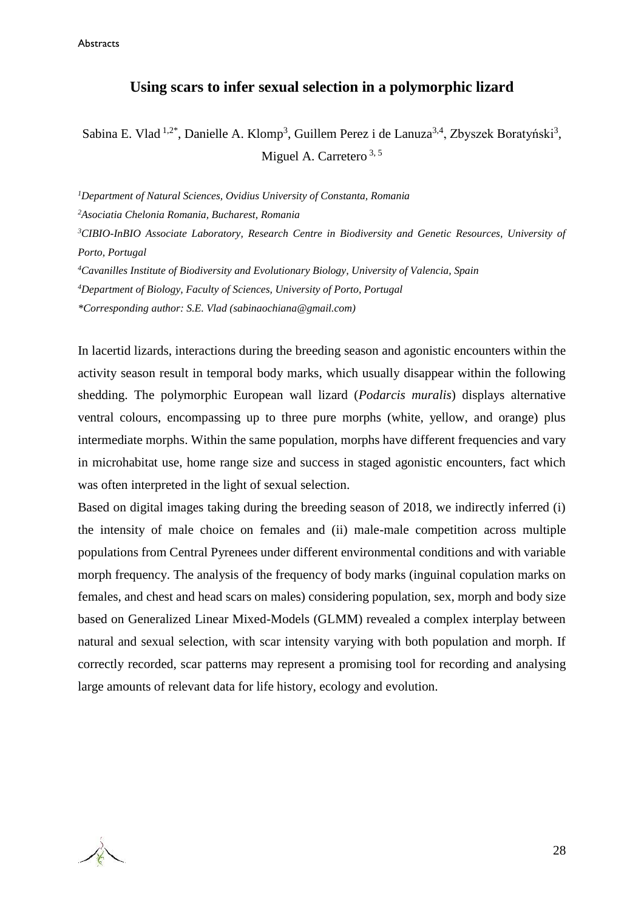Abstracts

#### **Using scars to infer sexual selection in a polymorphic lizard**

Sabina E. Vlad <sup>1,2\*</sup>, Danielle A. Klomp<sup>3</sup>, Guillem Perez i de Lanuza<sup>3,4</sup>, Zbyszek Boratyński<sup>3</sup>, Miguel A. Carretero<sup>3,5</sup>

*<sup>1</sup>Department of Natural Sciences, Ovidius University of Constanta, Romania* 

*<sup>2</sup>Asociatia Chelonia Romania, Bucharest, Romania*

*<sup>3</sup>CIBIO-InBIO Associate Laboratory, Research Centre in Biodiversity and Genetic Resources, University of Porto, Portugal*

*<sup>4</sup>Cavanilles Institute of Biodiversity and Evolutionary Biology, University of Valencia, Spain <sup>4</sup>Department of Biology, Faculty of Sciences, University of Porto, Portugal*

*\*Corresponding author: S.E. Vlad (sabinaochiana@gmail.com)*

In lacertid lizards, interactions during the breeding season and agonistic encounters within the activity season result in temporal body marks, which usually disappear within the following shedding. The polymorphic European wall lizard (*Podarcis muralis*) displays alternative ventral colours, encompassing up to three pure morphs (white, yellow, and orange) plus intermediate morphs. Within the same population, morphs have different frequencies and vary in microhabitat use, home range size and success in staged agonistic encounters, fact which was often interpreted in the light of sexual selection.

Based on digital images taking during the breeding season of 2018, we indirectly inferred (i) the intensity of male choice on females and (ii) male-male competition across multiple populations from Central Pyrenees under different environmental conditions and with variable morph frequency. The analysis of the frequency of body marks (inguinal copulation marks on females, and chest and head scars on males) considering population, sex, morph and body size based on Generalized Linear Mixed-Models (GLMM) revealed a complex interplay between natural and sexual selection, with scar intensity varying with both population and morph. If correctly recorded, scar patterns may represent a promising tool for recording and analysing large amounts of relevant data for life history, ecology and evolution.

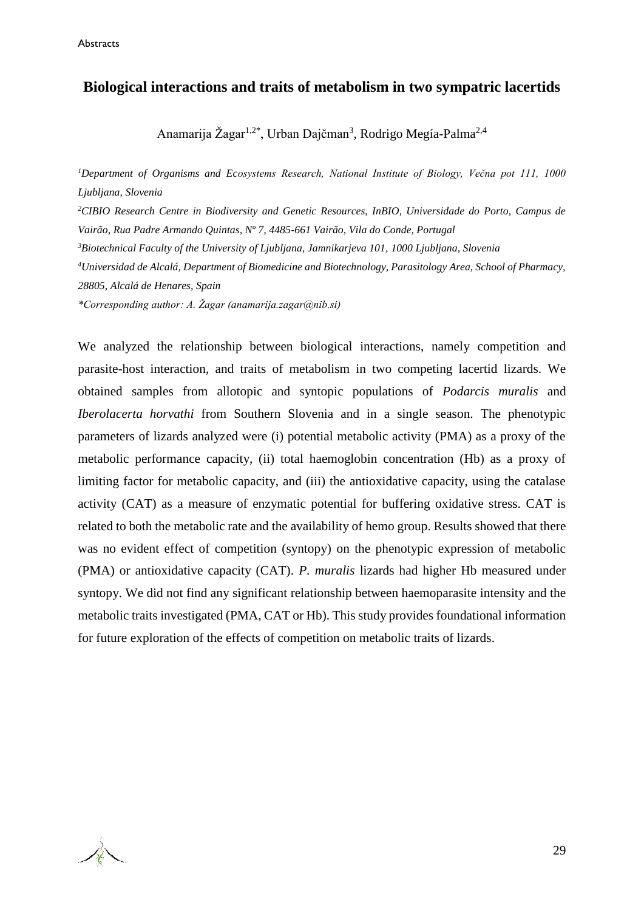#### **Biological interactions and traits of metabolism in two sympatric lacertids**

Anamarija Žagar<sup>1,2\*</sup>, Urban Dajčman<sup>3</sup>, Rodrigo Megía-Palma<sup>2,4</sup>

*<sup>1</sup>Department of Organisms and Ecosystems Research, National Institute of Biology, Večna pot 111, 1000 Ljubljana, Slovenia <sup>2</sup>CIBIO Research Centre in Biodiversity and Genetic Resources, InBIO, Universidade do Porto, Campus de Vairão, Rua Padre Armando Quintas, Nº 7, 4485-661 Vairão, Vila do Conde, Portugal <sup>3</sup>Biotechnical Faculty of the University of Ljubljana, Jamnikarjeva 101, 1000 Ljubljana, Slovenia <sup>4</sup>Universidad de Alcalá, Department of Biomedicine and Biotechnology, Parasitology Area, School of Pharmacy, 28805, Alcalá de Henares, Spain \*Corresponding author: A. Žagar (anamarija.zagar@nib.si)*

We analyzed the relationship between biological interactions, namely competition and parasite-host interaction, and traits of metabolism in two competing lacertid lizards. We obtained samples from allotopic and syntopic populations of *Podarcis muralis* and *Iberolacerta horvathi* from Southern Slovenia and in a single season. The phenotypic parameters of lizards analyzed were (i) potential metabolic activity (PMA) as a proxy of the metabolic performance capacity, (ii) total haemoglobin concentration (Hb) as a proxy of limiting factor for metabolic capacity, and (iii) the antioxidative capacity, using the catalase activity (CAT) as a measure of enzymatic potential for buffering oxidative stress. CAT is related to both the metabolic rate and the availability of hemo group. Results showed that there was no evident effect of competition (syntopy) on the phenotypic expression of metabolic (PMA) or antioxidative capacity (CAT). *P. muralis* lizards had higher Hb measured under syntopy. We did not find any significant relationship between haemoparasite intensity and the metabolic traits investigated (PMA, CAT or Hb). This study provides foundational information for future exploration of the effects of competition on metabolic traits of lizards.

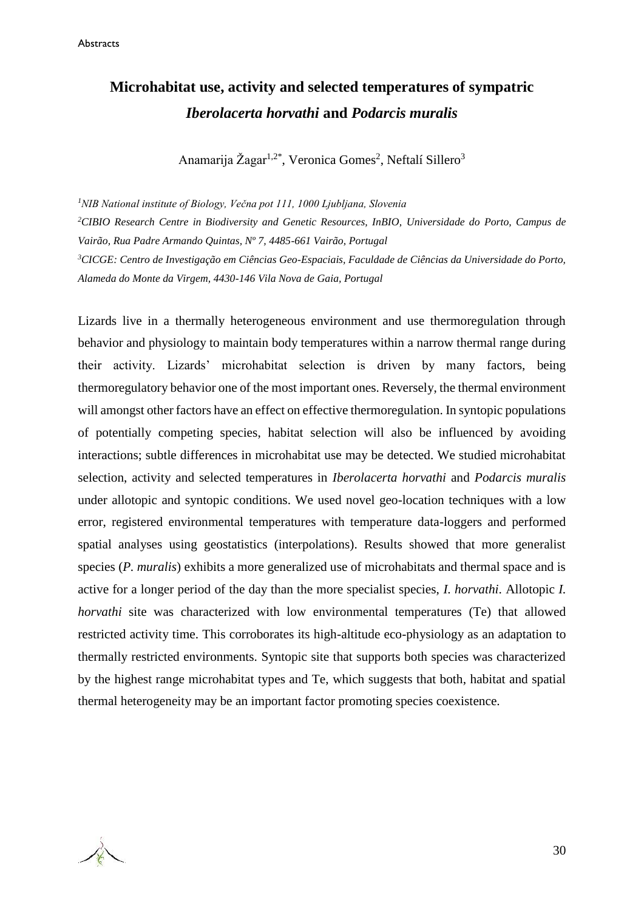### **Microhabitat use, activity and selected temperatures of sympatric**  *Iberolacerta horvathi* **and** *Podarcis muralis*

Anamarija Žagar<sup>1,2\*</sup>, Veronica Gomes<sup>2</sup>, Neftalí Sillero<sup>3</sup>

*<sup>1</sup>NIB National institute of Biology, Večna pot 111, 1000 Ljubljana, Slovenia <sup>2</sup>CIBIO Research Centre in Biodiversity and Genetic Resources, InBIO, Universidade do Porto, Campus de Vairão, Rua Padre Armando Quintas, Nº 7, 4485-661 Vairão, Portugal <sup>3</sup>CICGE: Centro de Investigação em Ciências Geo-Espaciais, Faculdade de Ciências da Universidade do Porto, Alameda do Monte da Virgem, 4430-146 Vila Nova de Gaia, Portugal*

Lizards live in a thermally heterogeneous environment and use thermoregulation through behavior and physiology to maintain body temperatures within a narrow thermal range during their activity. Lizards' microhabitat selection is driven by many factors, being thermoregulatory behavior one of the most important ones. Reversely, the thermal environment will amongst other factors have an effect on effective thermoregulation. In syntopic populations of potentially competing species, habitat selection will also be influenced by avoiding interactions; subtle differences in microhabitat use may be detected. We studied microhabitat selection, activity and selected temperatures in *Iberolacerta horvathi* and *Podarcis muralis* under allotopic and syntopic conditions. We used novel geo-location techniques with a low error, registered environmental temperatures with temperature data-loggers and performed spatial analyses using geostatistics (interpolations). Results showed that more generalist species (*P. muralis*) exhibits a more generalized use of microhabitats and thermal space and is active for a longer period of the day than the more specialist species, *I. horvathi*. Allotopic *I. horvathi* site was characterized with low environmental temperatures (Te) that allowed restricted activity time. This corroborates its high-altitude eco-physiology as an adaptation to thermally restricted environments. Syntopic site that supports both species was characterized by the highest range microhabitat types and Te, which suggests that both, habitat and spatial thermal heterogeneity may be an important factor promoting species coexistence.

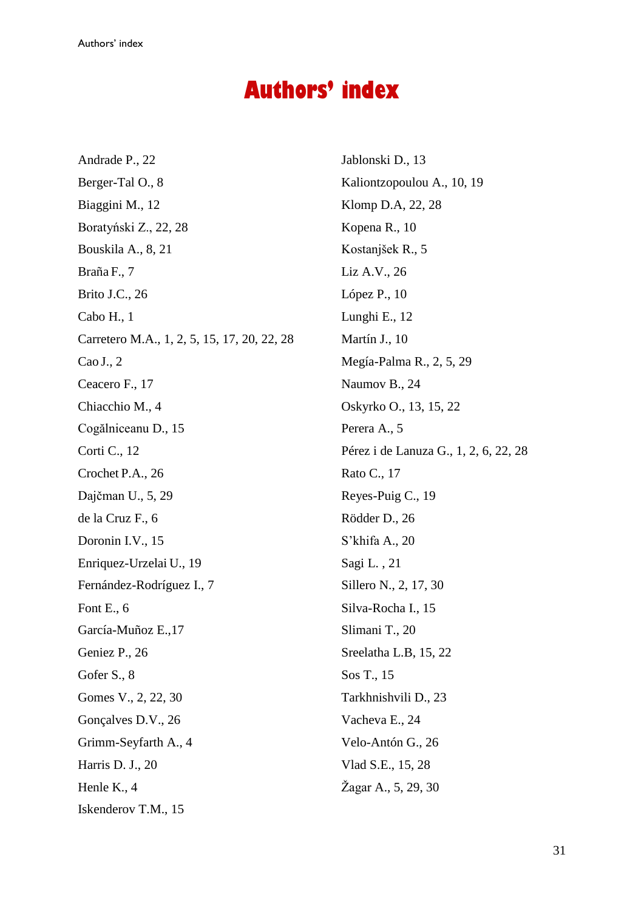## **Authors' index**

Andrade P., 22 Berger-Tal O., 8 Biaggini M., 12 Boratyński Z., 22, 28 Bouskila A., 8, 21 Braña F., 7 Brito J.C., 26 Cabo H., 1 Carretero M.A., 1, 2, 5, 15, 17, 20, 22, 28 Cao J., 2 Ceacero F., 17 Chiacchio M., 4 Cogălniceanu D., 15 Corti C., 12 Crochet P.A., 26 Dajčman U., 5, 29 de la Cruz F., 6 Doronin I.V., 15 Enriquez-Urzelai U., 19 Fernández-Rodríguez I., 7 Font E., 6 García-Muñoz E.,17 Geniez P., 26 Gofer S., 8 Gomes V., 2, 22, 30 Gonçalves D.V., 26 Grimm-Seyfarth A., 4 Harris D. J., 20 Henle K., 4 Iskenderov T.M., 15

Jablonski D., 13 Kaliontzopoulou A., 10, 19 Klomp D.A, 22, 28 Kopena R., 10 Kostanjšek R., 5 Liz A.V., 26 López P., 10 Lunghi E., 12 Martín J., 10 Megía-Palma R., 2, 5, 29 Naumov B., 24 Oskyrko O., 13, 15, 22 Perera A., 5 Pérez i de Lanuza G., 1, 2, 6, 22, 28 Rato C., 17 Reyes-Puig C., 19 Rödder D., 26 S'khifa A., 20 Sagi L. , 21 Sillero N., 2, 17, 30 Silva-Rocha I., 15 Slimani T., 20 Sreelatha L.B, 15, 22 Sos T., 15 Tarkhnishvili D., 23 Vacheva E., 24 Velo-Antón G., 26 Vlad S.E., 15, 28 Žagar A., 5, 29, 30